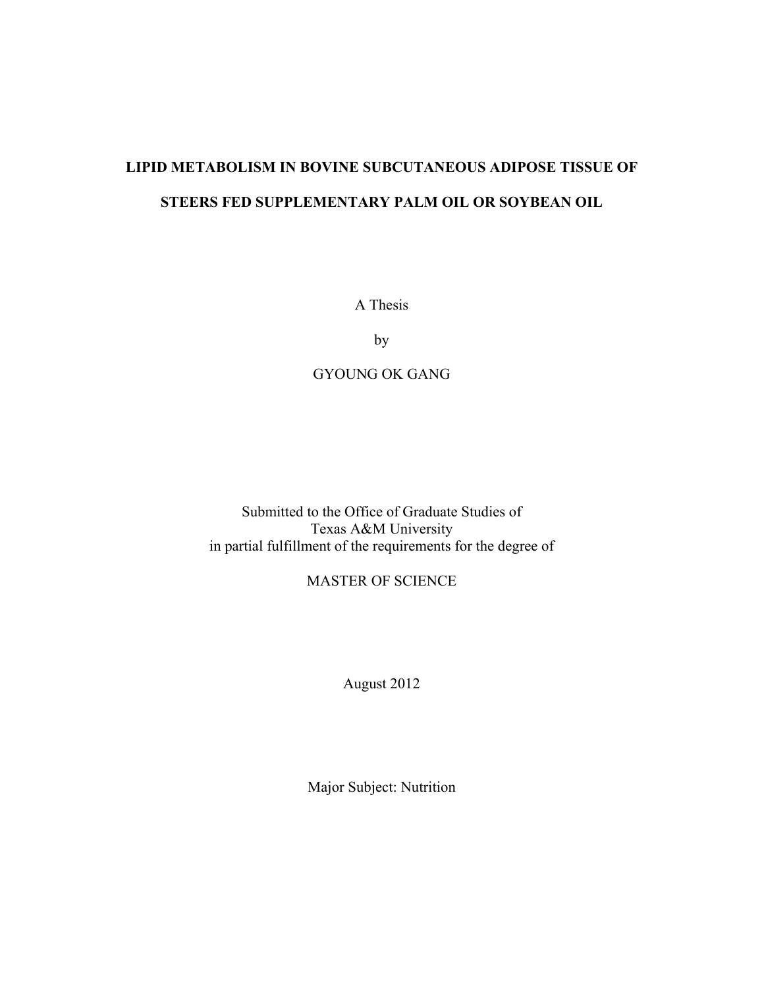# **LIPID METABOLISM IN BOVINE SUBCUTANEOUS ADIPOSE TISSUE OF STEERS FED SUPPLEMENTARY PALM OIL OR SOYBEAN OIL**

A Thesis

by

### GYOUNG OK GANG

Submitted to the Office of Graduate Studies of Texas A&M University in partial fulfillment of the requirements for the degree of

### MASTER OF SCIENCE

August 2012

Major Subject: Nutrition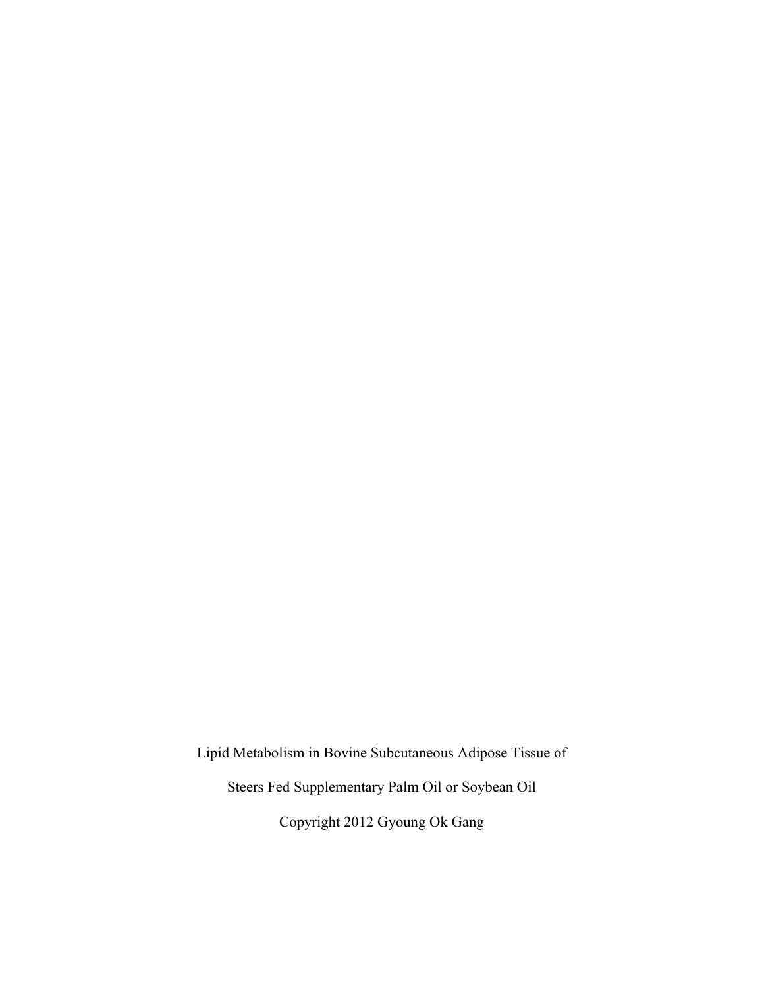Lipid Metabolism in Bovine Subcutaneous Adipose Tissue of Steers Fed Supplementary Palm Oil or Soybean Oil Copyright 2012 Gyoung Ok Gang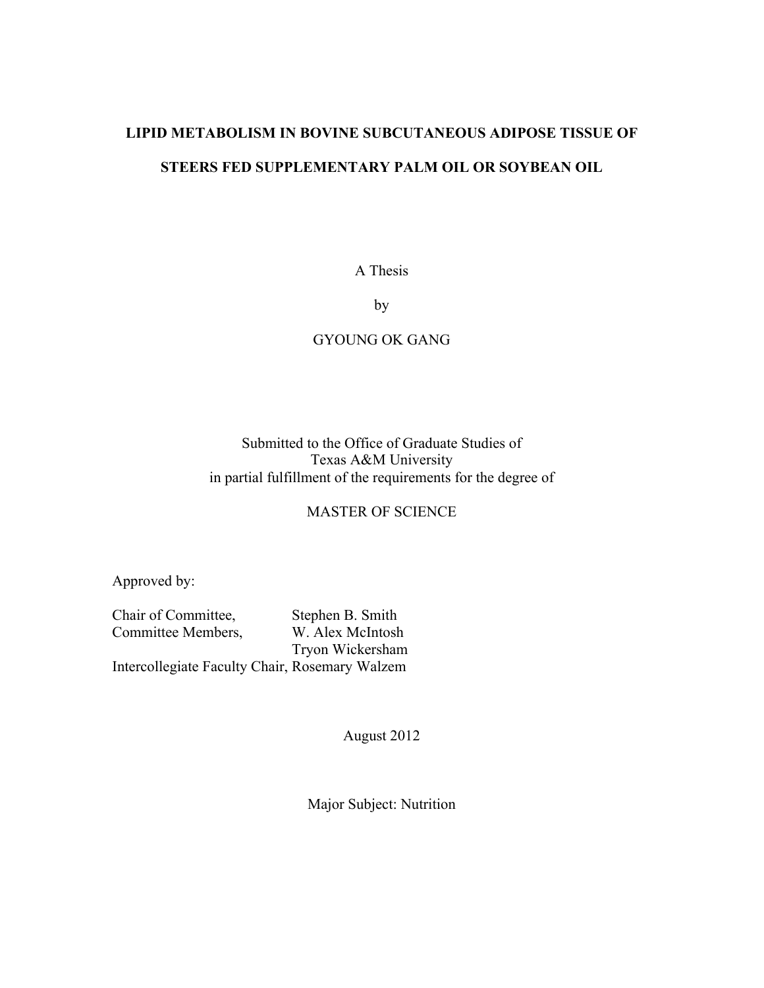# **LIPID METABOLISM IN BOVINE SUBCUTANEOUS ADIPOSE TISSUE OF STEERS FED SUPPLEMENTARY PALM OIL OR SOYBEAN OIL**

A Thesis

by

### GYOUNG OK GANG

### Submitted to the Office of Graduate Studies of Texas A&M University in partial fulfillment of the requirements for the degree of

### MASTER OF SCIENCE

Approved by:

Chair of Committee, Stephen B. Smith Committee Members, W. Alex McIntosh Tryon Wickersham Intercollegiate Faculty Chair, Rosemary Walzem

August 2012

Major Subject: Nutrition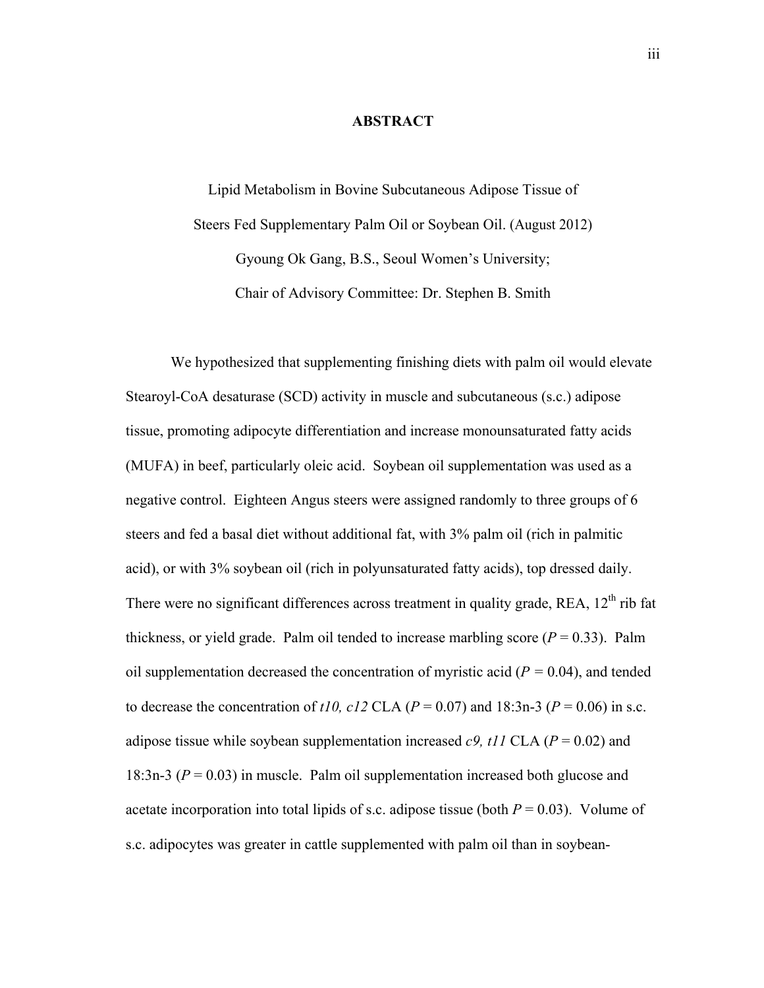### **ABSTRACT**

Lipid Metabolism in Bovine Subcutaneous Adipose Tissue of Steers Fed Supplementary Palm Oil or Soybean Oil. (August 2012) Gyoung Ok Gang, B.S., Seoul Women's University; Chair of Advisory Committee: Dr. Stephen B. Smith

We hypothesized that supplementing finishing diets with palm oil would elevate Stearoyl-CoA desaturase (SCD) activity in muscle and subcutaneous (s.c.) adipose tissue, promoting adipocyte differentiation and increase monounsaturated fatty acids (MUFA) in beef, particularly oleic acid. Soybean oil supplementation was used as a negative control. Eighteen Angus steers were assigned randomly to three groups of 6 steers and fed a basal diet without additional fat, with 3% palm oil (rich in palmitic acid), or with 3% soybean oil (rich in polyunsaturated fatty acids), top dressed daily. There were no significant differences across treatment in quality grade, REA,  $12<sup>th</sup>$  rib fat thickness, or yield grade. Palm oil tended to increase marbling score  $(P = 0.33)$ . Palm oil supplementation decreased the concentration of myristic acid (*P =* 0.04), and tended to decrease the concentration of  $t/0$ ,  $c/2$  CLA ( $P = 0.07$ ) and 18:3n-3 ( $P = 0.06$ ) in s.c. adipose tissue while soybean supplementation increased  $c9$ ,  $t11$  CLA ( $P = 0.02$ ) and 18:3n-3 ( $P = 0.03$ ) in muscle. Palm oil supplementation increased both glucose and acetate incorporation into total lipids of s.c. adipose tissue (both  $P = 0.03$ ). Volume of s.c. adipocytes was greater in cattle supplemented with palm oil than in soybean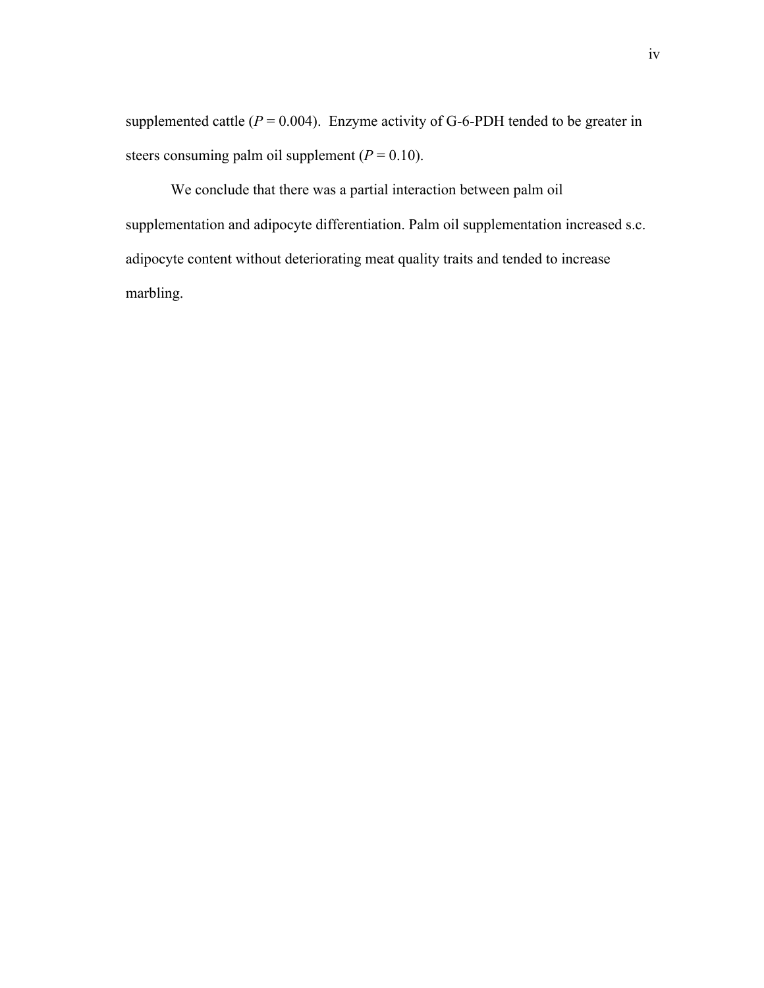supplemented cattle  $(P = 0.004)$ . Enzyme activity of G-6-PDH tended to be greater in steers consuming palm oil supplement  $(P = 0.10)$ .

We conclude that there was a partial interaction between palm oil supplementation and adipocyte differentiation. Palm oil supplementation increased s.c. adipocyte content without deteriorating meat quality traits and tended to increase marbling.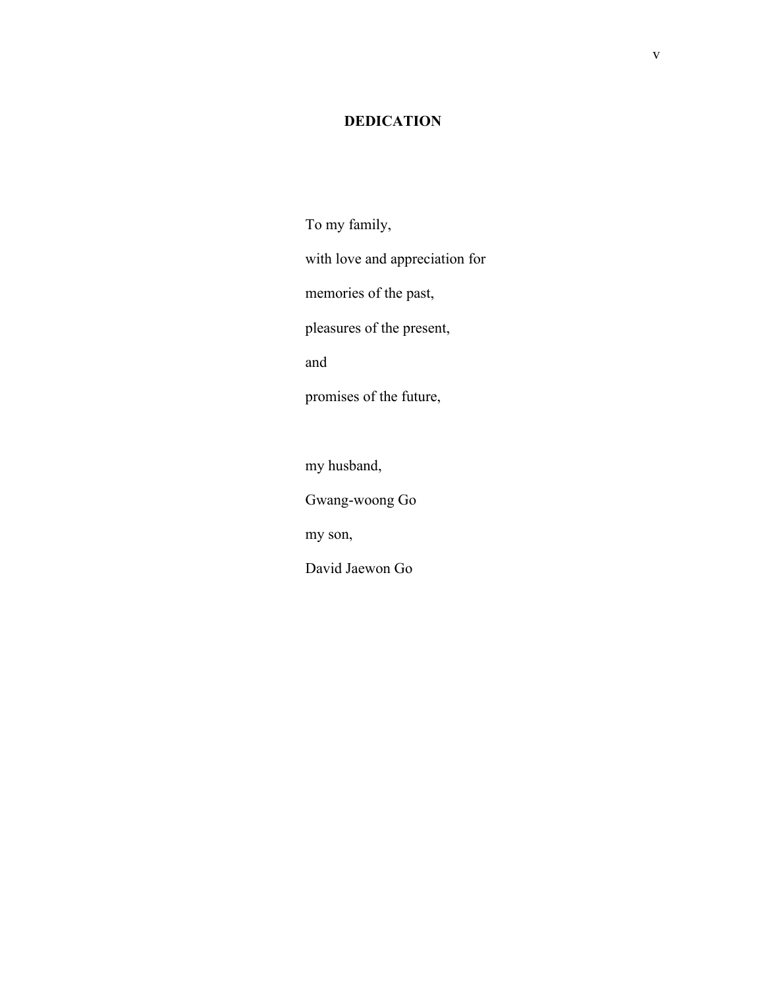### **DEDICATION**

To my family, with love and appreciation for memories of the past, pleasures of the present, and promises of the future,

my husband,

Gwang-woong Go

my son,

David Jaewon Go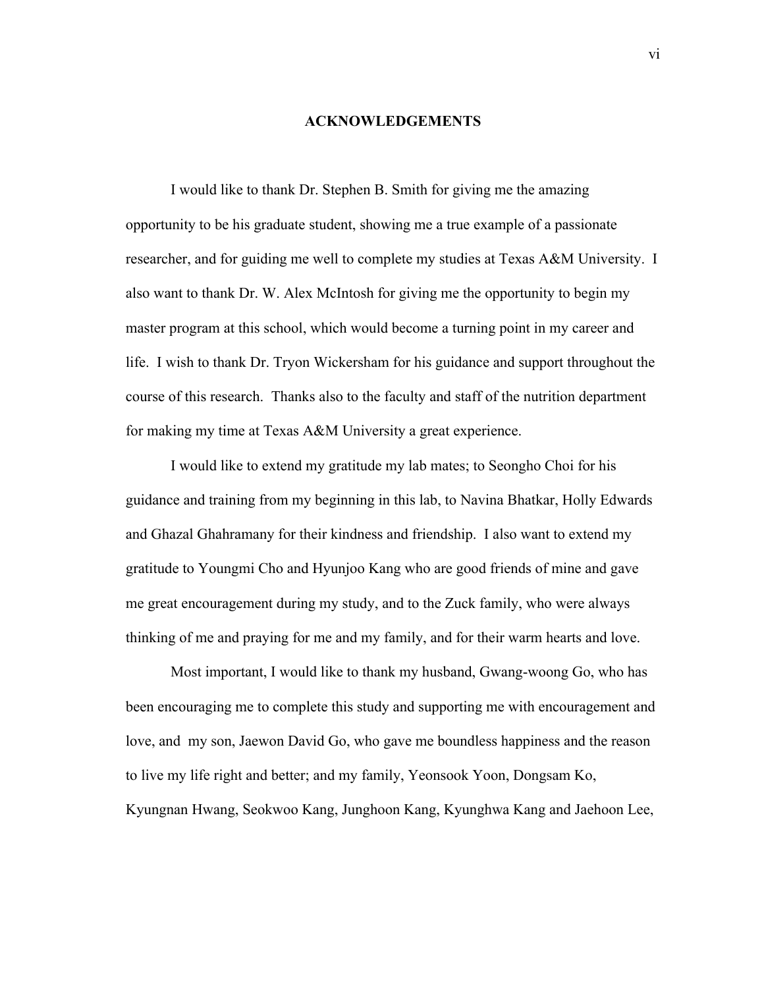#### **ACKNOWLEDGEMENTS**

I would like to thank Dr. Stephen B. Smith for giving me the amazing opportunity to be his graduate student, showing me a true example of a passionate researcher, and for guiding me well to complete my studies at Texas A&M University. I also want to thank Dr. W. Alex McIntosh for giving me the opportunity to begin my master program at this school, which would become a turning point in my career and life. I wish to thank Dr. Tryon Wickersham for his guidance and support throughout the course of this research. Thanks also to the faculty and staff of the nutrition department for making my time at Texas A&M University a great experience.

I would like to extend my gratitude my lab mates; to Seongho Choi for his guidance and training from my beginning in this lab, to Navina Bhatkar, Holly Edwards and Ghazal Ghahramany for their kindness and friendship. I also want to extend my gratitude to Youngmi Cho and Hyunjoo Kang who are good friends of mine and gave me great encouragement during my study, and to the Zuck family, who were always thinking of me and praying for me and my family, and for their warm hearts and love.

Most important, I would like to thank my husband, Gwang-woong Go, who has been encouraging me to complete this study and supporting me with encouragement and love, and my son, Jaewon David Go, who gave me boundless happiness and the reason to live my life right and better; and my family, Yeonsook Yoon, Dongsam Ko, Kyungnan Hwang, Seokwoo Kang, Junghoon Kang, Kyunghwa Kang and Jaehoon Lee,

vi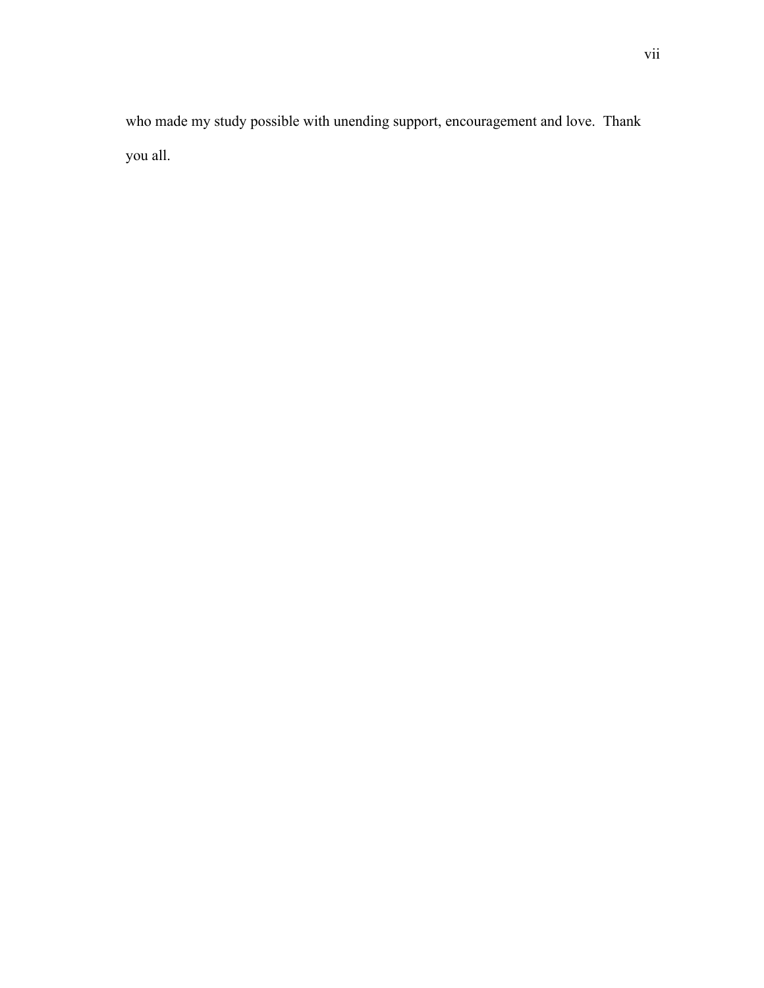who made my study possible with unending support, encouragement and love. Thank you all.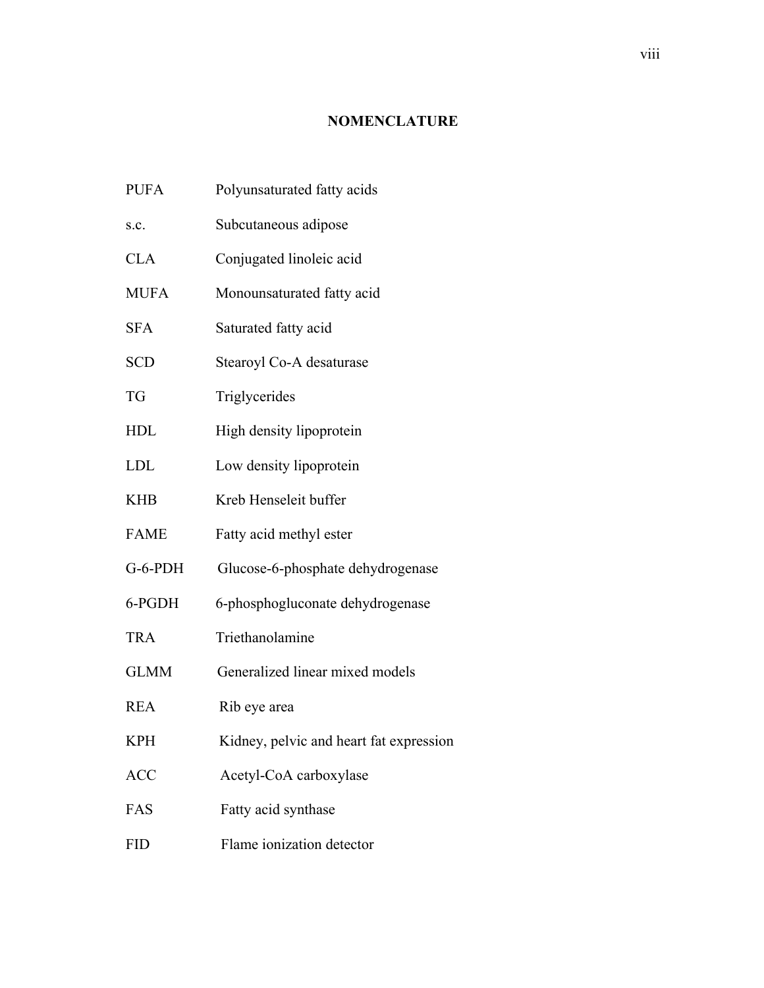### **NOMENCLATURE**

- PUFA Polyunsaturated fatty acids
- s.c. Subcutaneous adipose
- CLA Conjugated linoleic acid
- MUFA Monounsaturated fatty acid
- SFA Saturated fatty acid
- SCD Stearoyl Co-A desaturase
- TG Triglycerides
- HDL High density lipoprotein
- LDL Low density lipoprotein
- KHB Kreb Henseleit buffer
- FAME Fatty acid methyl ester
- G-6-PDH Glucose-6-phosphate dehydrogenase
- 6-PGDH 6-phosphogluconate dehydrogenase
- TRA Triethanolamine
- GLMM Generalized linear mixed models
- REA Rib eye area
- KPH Kidney, pelvic and heart fat expression
- ACC Acetyl-CoA carboxylase
- FAS Fatty acid synthase
- FID Flame ionization detector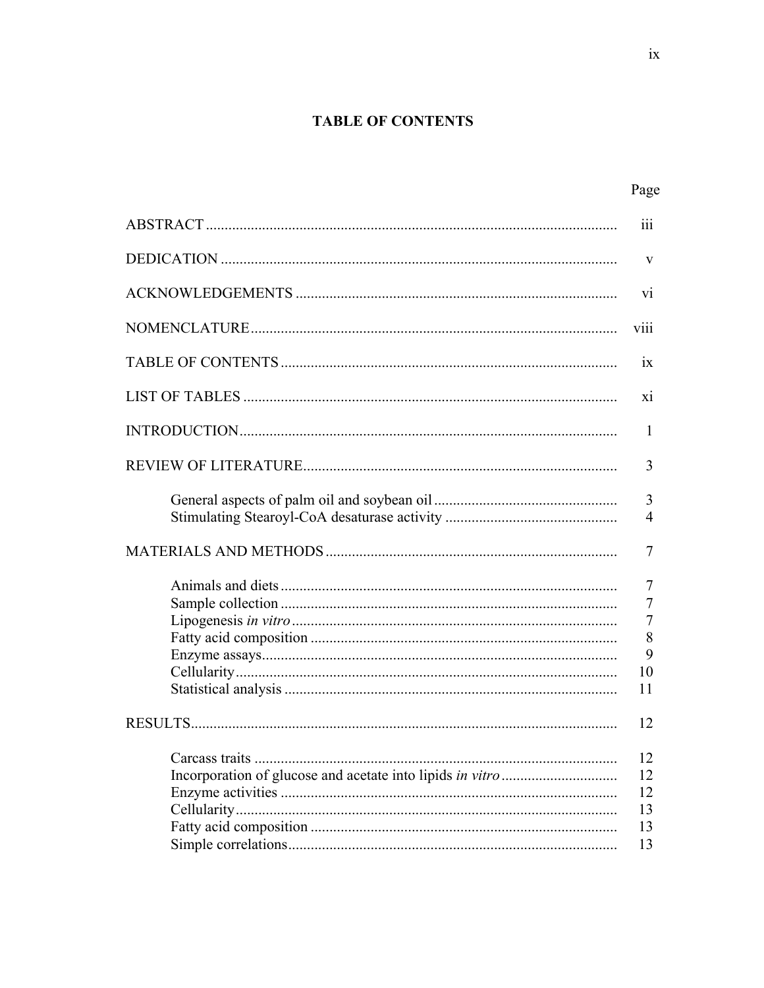## **TABLE OF CONTENTS**

| Page                                           |
|------------------------------------------------|
| 111                                            |
| V                                              |
| V1                                             |
| <b>V111</b>                                    |
| 1X                                             |
| X1                                             |
| 1                                              |
| 3                                              |
| 3<br>$\overline{4}$                            |
| 7                                              |
| 7<br>$\overline{7}$<br>7<br>8<br>9<br>10<br>11 |
| 12                                             |
| 12<br>12<br>12<br>13<br>13<br>13               |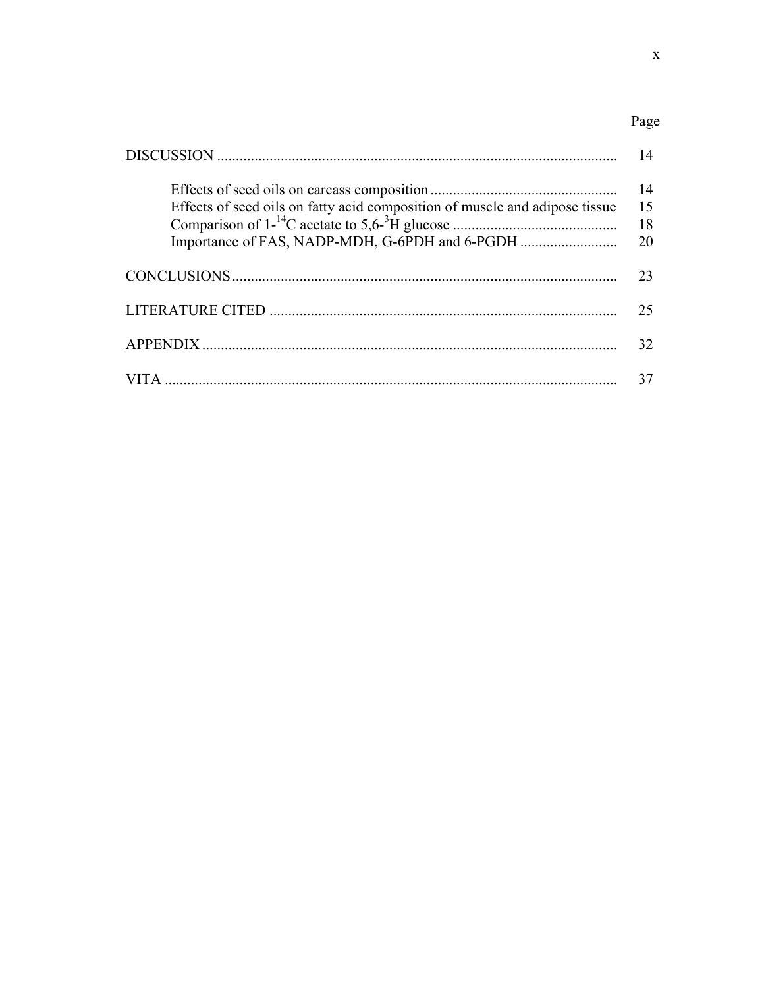# Page

|                                                                             | 14                   |
|-----------------------------------------------------------------------------|----------------------|
| Effects of seed oils on fatty acid composition of muscle and adipose tissue | 14<br>15<br>18<br>20 |
|                                                                             | 23                   |
|                                                                             | 25                   |
|                                                                             | 32                   |
|                                                                             | 37                   |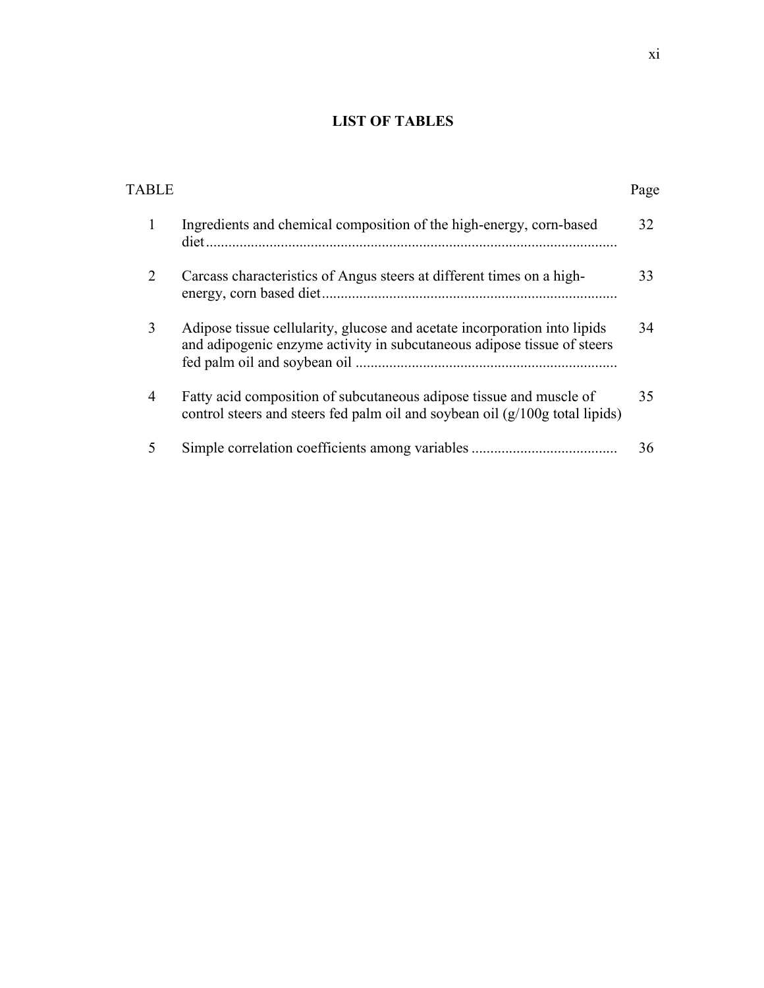## **LIST OF TABLES**

| <b>TABLE</b>   |                                                                                                                                                      | Page |
|----------------|------------------------------------------------------------------------------------------------------------------------------------------------------|------|
| 1              | Ingredients and chemical composition of the high-energy, corn-based                                                                                  | 32   |
| 2              | Carcass characteristics of Angus steers at different times on a high-                                                                                | 33   |
| 3              | Adipose tissue cellularity, glucose and acetate incorporation into lipids<br>and adipogenic enzyme activity in subcutaneous adipose tissue of steers | 34   |
| $\overline{4}$ | Fatty acid composition of subcutaneous adipose tissue and muscle of<br>control steers and steers fed palm oil and soybean oil (g/100g total lipids)  | 35   |
| 5              |                                                                                                                                                      | 36   |
|                |                                                                                                                                                      |      |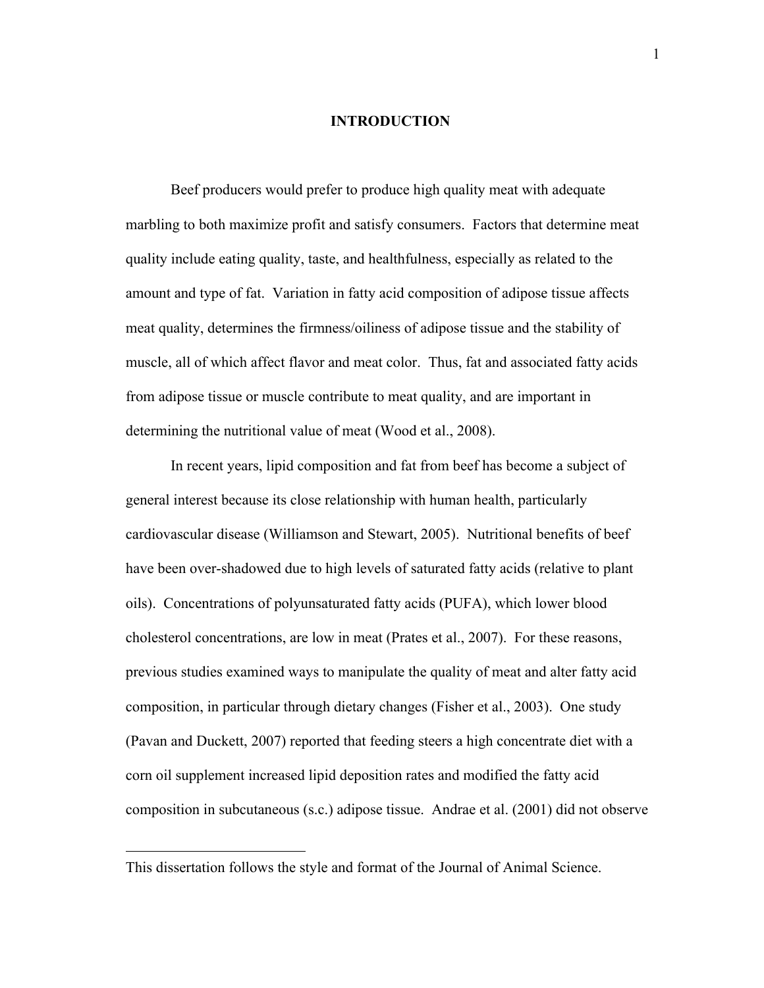#### **INTRODUCTION**

Beef producers would prefer to produce high quality meat with adequate marbling to both maximize profit and satisfy consumers. Factors that determine meat quality include eating quality, taste, and healthfulness, especially as related to the amount and type of fat. Variation in fatty acid composition of adipose tissue affects meat quality, determines the firmness/oiliness of adipose tissue and the stability of muscle, all of which affect flavor and meat color. Thus, fat and associated fatty acids from adipose tissue or muscle contribute to meat quality, and are important in determining the nutritional value of meat (Wood et al., 2008).

In recent years, lipid composition and fat from beef has become a subject of general interest because its close relationship with human health, particularly cardiovascular disease (Williamson and Stewart, 2005). Nutritional benefits of beef have been over-shadowed due to high levels of saturated fatty acids (relative to plant oils). Concentrations of polyunsaturated fatty acids (PUFA), which lower blood cholesterol concentrations, are low in meat (Prates et al., 2007). For these reasons, previous studies examined ways to manipulate the quality of meat and alter fatty acid composition, in particular through dietary changes (Fisher et al., 2003). One study (Pavan and Duckett, 2007) reported that feeding steers a high concentrate diet with a corn oil supplement increased lipid deposition rates and modified the fatty acid composition in subcutaneous (s.c.) adipose tissue. Andrae et al. (2001) did not observe

 $\overline{a}$ 

This dissertation follows the style and format of the Journal of Animal Science.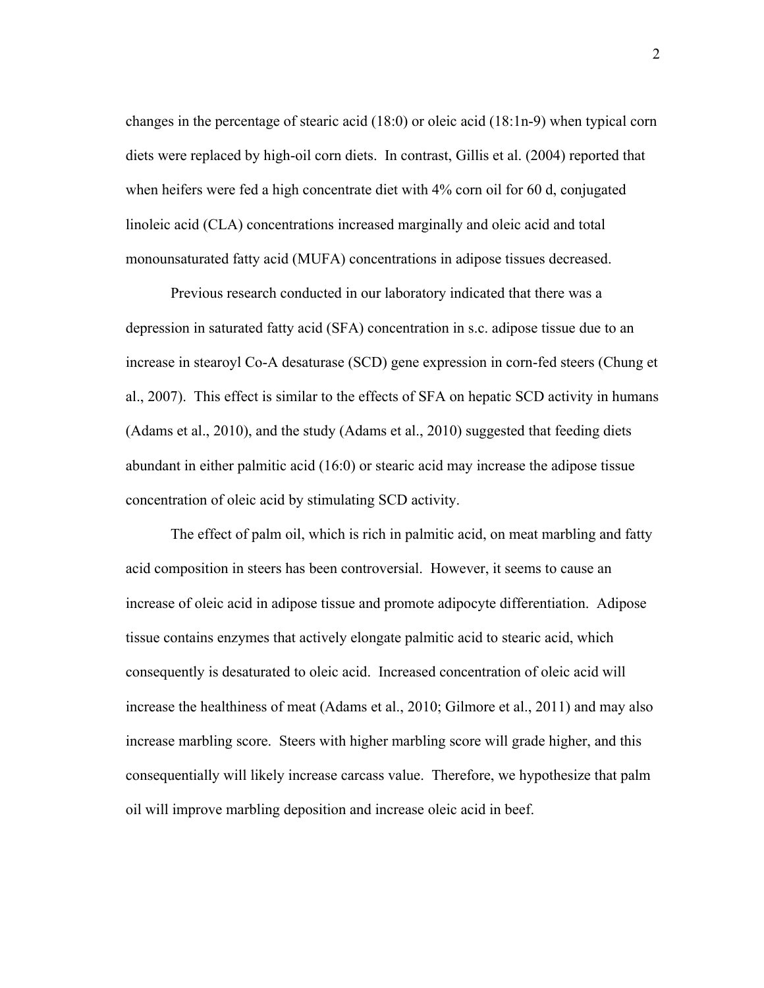changes in the percentage of stearic acid (18:0) or oleic acid (18:1n-9) when typical corn diets were replaced by high-oil corn diets. In contrast, Gillis et al. (2004) reported that when heifers were fed a high concentrate diet with 4% corn oil for 60 d, conjugated linoleic acid (CLA) concentrations increased marginally and oleic acid and total monounsaturated fatty acid (MUFA) concentrations in adipose tissues decreased.

Previous research conducted in our laboratory indicated that there was a depression in saturated fatty acid (SFA) concentration in s.c. adipose tissue due to an increase in stearoyl Co-A desaturase (SCD) gene expression in corn-fed steers (Chung et al., 2007). This effect is similar to the effects of SFA on hepatic SCD activity in humans (Adams et al., 2010), and the study (Adams et al., 2010) suggested that feeding diets abundant in either palmitic acid (16:0) or stearic acid may increase the adipose tissue concentration of oleic acid by stimulating SCD activity.

The effect of palm oil, which is rich in palmitic acid, on meat marbling and fatty acid composition in steers has been controversial. However, it seems to cause an increase of oleic acid in adipose tissue and promote adipocyte differentiation. Adipose tissue contains enzymes that actively elongate palmitic acid to stearic acid, which consequently is desaturated to oleic acid. Increased concentration of oleic acid will increase the healthiness of meat (Adams et al., 2010; Gilmore et al., 2011) and may also increase marbling score. Steers with higher marbling score will grade higher, and this consequentially will likely increase carcass value. Therefore, we hypothesize that palm oil will improve marbling deposition and increase oleic acid in beef.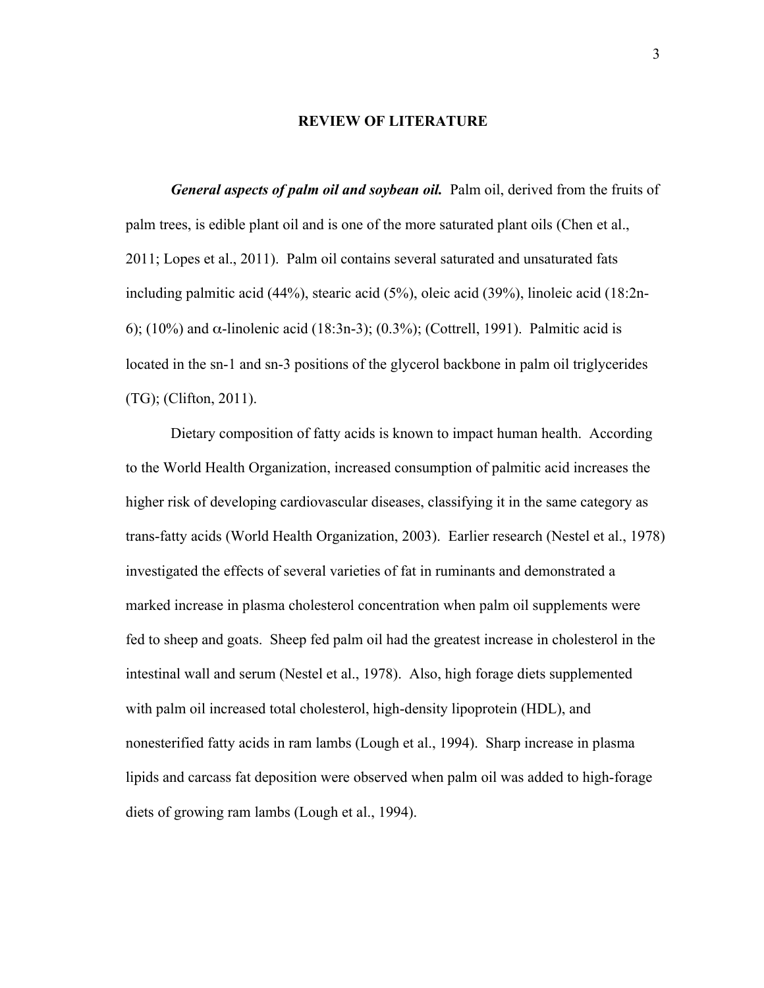#### **REVIEW OF LITERATURE**

*General aspects of palm oil and soybean oil.* Palm oil, derived from the fruits of palm trees, is edible plant oil and is one of the more saturated plant oils (Chen et al., 2011; Lopes et al., 2011). Palm oil contains several saturated and unsaturated fats including palmitic acid (44%), stearic acid (5%), oleic acid (39%), linoleic acid (18:2n-6); (10%) and α-linolenic acid (18:3n-3); (0.3%); (Cottrell, 1991). Palmitic acid is located in the sn-1 and sn-3 positions of the glycerol backbone in palm oil triglycerides (TG); (Clifton, 2011).

Dietary composition of fatty acids is known to impact human health. According to the World Health Organization, increased consumption of palmitic acid increases the higher risk of developing cardiovascular diseases, classifying it in the same category as trans-fatty acids (World Health Organization, 2003). Earlier research (Nestel et al., 1978) investigated the effects of several varieties of fat in ruminants and demonstrated a marked increase in plasma cholesterol concentration when palm oil supplements were fed to sheep and goats. Sheep fed palm oil had the greatest increase in cholesterol in the intestinal wall and serum (Nestel et al., 1978). Also, high forage diets supplemented with palm oil increased total cholesterol, high-density lipoprotein (HDL), and nonesterified fatty acids in ram lambs (Lough et al., 1994). Sharp increase in plasma lipids and carcass fat deposition were observed when palm oil was added to high-forage diets of growing ram lambs (Lough et al., 1994).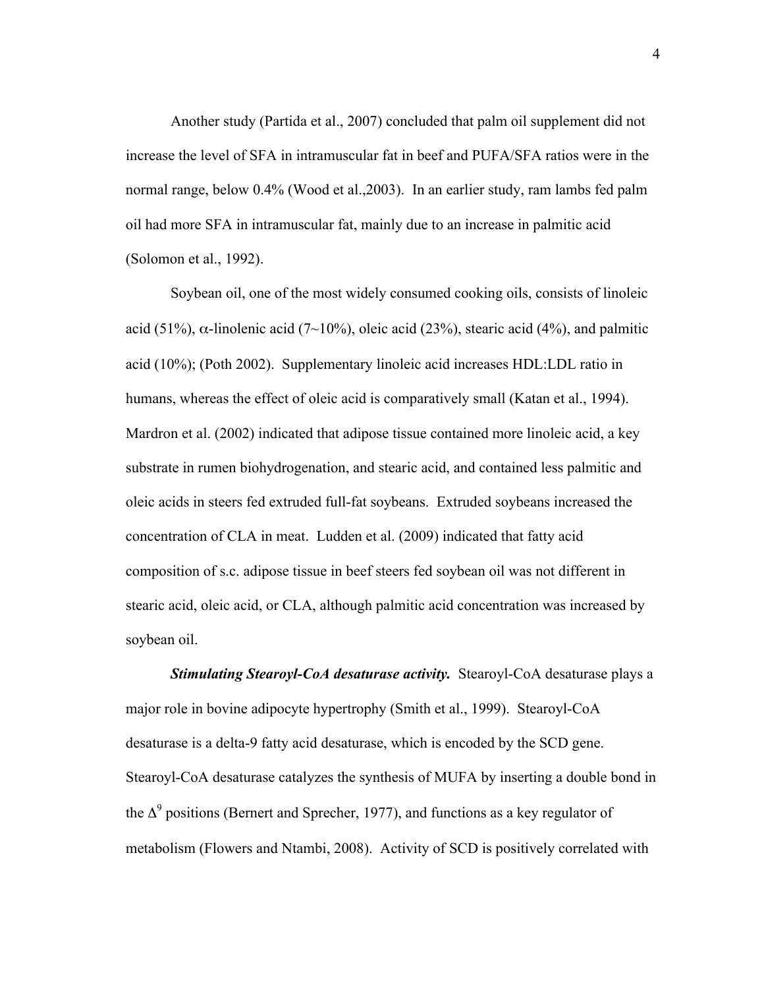Another study (Partida et al., 2007) concluded that palm oil supplement did not increase the level of SFA in intramuscular fat in beef and PUFA/SFA ratios were in the normal range, below 0.4% (Wood et al.,2003). In an earlier study, ram lambs fed palm oil had more SFA in intramuscular fat, mainly due to an increase in palmitic acid (Solomon et al., 1992).

Soybean oil, one of the most widely consumed cooking oils, consists of linoleic acid (51%),  $\alpha$ -linolenic acid (7~10%), oleic acid (23%), stearic acid (4%), and palmitic acid (10%); (Poth 2002). Supplementary linoleic acid increases HDL:LDL ratio in humans, whereas the effect of oleic acid is comparatively small (Katan et al., 1994). Mardron et al. (2002) indicated that adipose tissue contained more linoleic acid, a key substrate in rumen biohydrogenation, and stearic acid, and contained less palmitic and oleic acids in steers fed extruded full-fat soybeans. Extruded soybeans increased the concentration of CLA in meat. Ludden et al. (2009) indicated that fatty acid composition of s.c. adipose tissue in beef steers fed soybean oil was not different in stearic acid, oleic acid, or CLA, although palmitic acid concentration was increased by soybean oil.

*Stimulating Stearoyl-CoA desaturase activity.* Stearoyl-CoA desaturase plays a major role in bovine adipocyte hypertrophy (Smith et al., 1999). Stearoyl-CoA desaturase is a delta-9 fatty acid desaturase, which is encoded by the SCD gene. Stearoyl-CoA desaturase catalyzes the synthesis of MUFA by inserting a double bond in the  $\Delta^9$  positions (Bernert and Sprecher, 1977), and functions as a key regulator of metabolism (Flowers and Ntambi, 2008). Activity of SCD is positively correlated with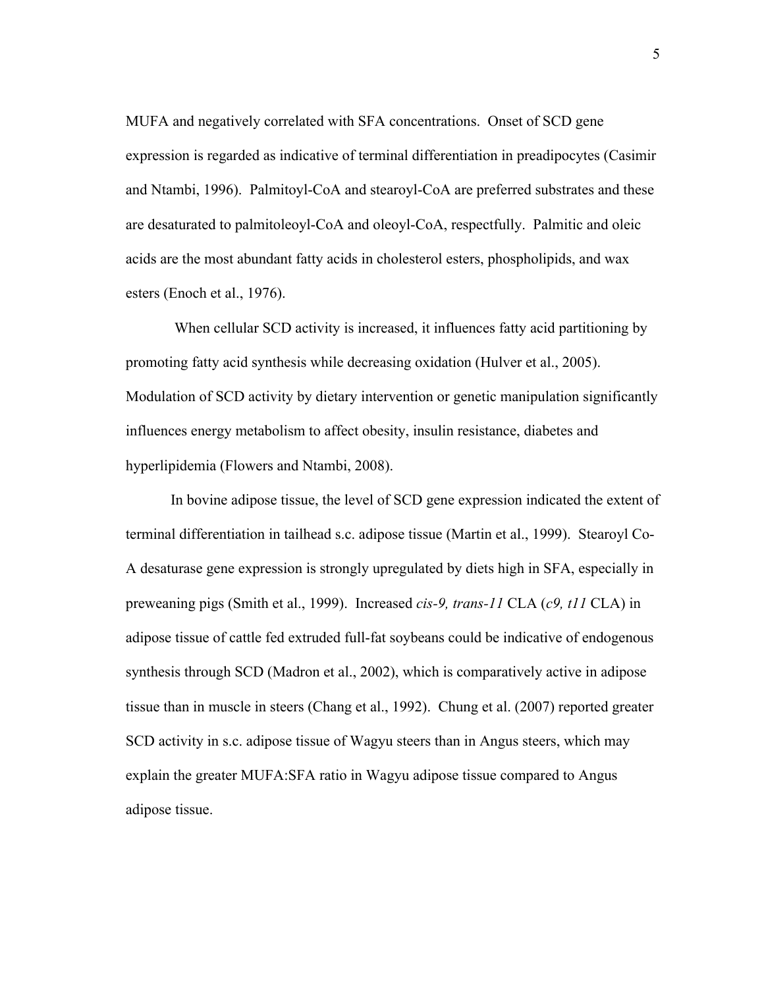MUFA and negatively correlated with SFA concentrations. Onset of SCD gene expression is regarded as indicative of terminal differentiation in preadipocytes (Casimir and Ntambi, 1996). Palmitoyl-CoA and stearoyl-CoA are preferred substrates and these are desaturated to palmitoleoyl-CoA and oleoyl-CoA, respectfully. Palmitic and oleic acids are the most abundant fatty acids in cholesterol esters, phospholipids, and wax esters (Enoch et al., 1976).

When cellular SCD activity is increased, it influences fatty acid partitioning by promoting fatty acid synthesis while decreasing oxidation (Hulver et al., 2005). Modulation of SCD activity by dietary intervention or genetic manipulation significantly influences energy metabolism to affect obesity, insulin resistance, diabetes and hyperlipidemia (Flowers and Ntambi, 2008).

In bovine adipose tissue, the level of SCD gene expression indicated the extent of terminal differentiation in tailhead s.c. adipose tissue (Martin et al., 1999). Stearoyl Co-A desaturase gene expression is strongly upregulated by diets high in SFA, especially in preweaning pigs (Smith et al., 1999). Increased *cis-9, trans-11* CLA (*c9, t11* CLA) in adipose tissue of cattle fed extruded full-fat soybeans could be indicative of endogenous synthesis through SCD (Madron et al., 2002), which is comparatively active in adipose tissue than in muscle in steers (Chang et al., 1992). Chung et al. (2007) reported greater SCD activity in s.c. adipose tissue of Wagyu steers than in Angus steers, which may explain the greater MUFA:SFA ratio in Wagyu adipose tissue compared to Angus adipose tissue.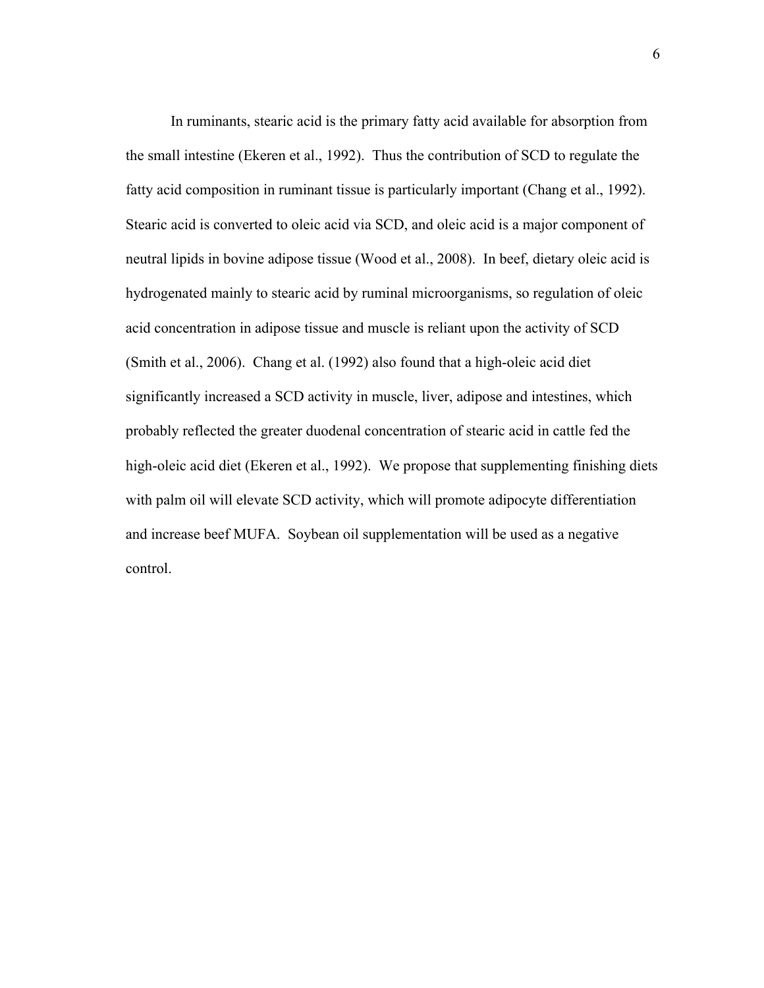In ruminants, stearic acid is the primary fatty acid available for absorption from the small intestine (Ekeren et al., 1992). Thus the contribution of SCD to regulate the fatty acid composition in ruminant tissue is particularly important (Chang et al., 1992). Stearic acid is converted to oleic acid via SCD, and oleic acid is a major component of neutral lipids in bovine adipose tissue (Wood et al., 2008). In beef, dietary oleic acid is hydrogenated mainly to stearic acid by ruminal microorganisms, so regulation of oleic acid concentration in adipose tissue and muscle is reliant upon the activity of SCD (Smith et al., 2006). Chang et al. (1992) also found that a high-oleic acid diet significantly increased a SCD activity in muscle, liver, adipose and intestines, which probably reflected the greater duodenal concentration of stearic acid in cattle fed the high-oleic acid diet (Ekeren et al., 1992). We propose that supplementing finishing diets with palm oil will elevate SCD activity, which will promote adipocyte differentiation and increase beef MUFA. Soybean oil supplementation will be used as a negative control.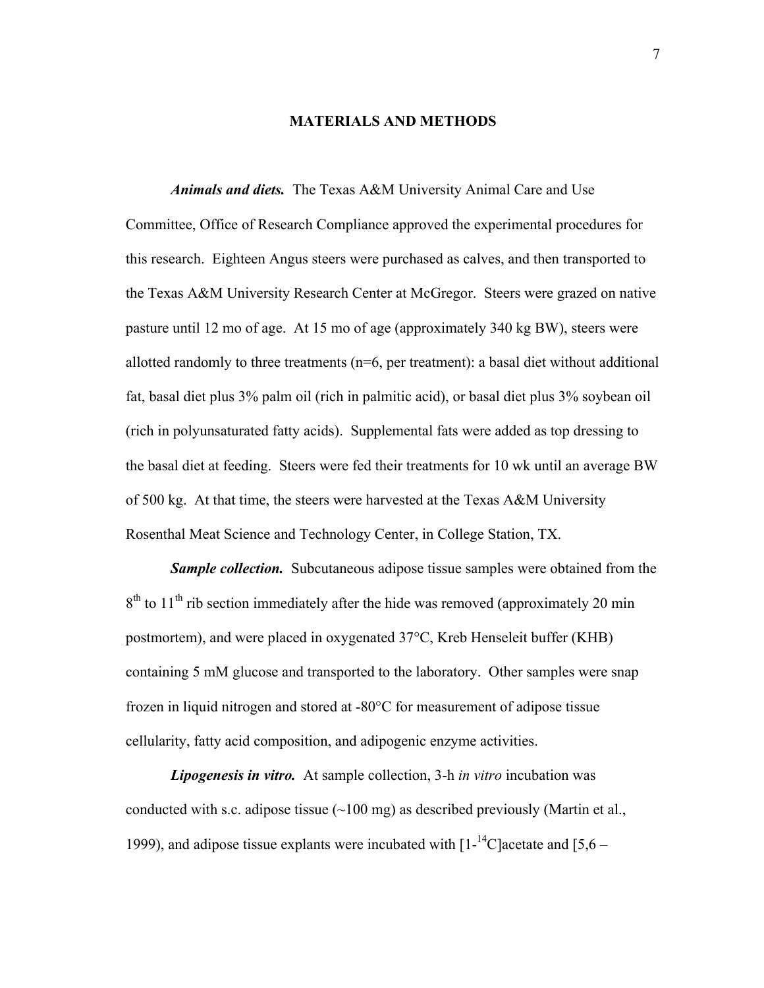#### **MATERIALS AND METHODS**

*Animals and diets.* The Texas A&M University Animal Care and Use Committee, Office of Research Compliance approved the experimental procedures for this research. Eighteen Angus steers were purchased as calves, and then transported to the Texas A&M University Research Center at McGregor. Steers were grazed on native pasture until 12 mo of age. At 15 mo of age (approximately 340 kg BW), steers were allotted randomly to three treatments (n=6, per treatment): a basal diet without additional fat, basal diet plus 3% palm oil (rich in palmitic acid), or basal diet plus 3% soybean oil (rich in polyunsaturated fatty acids). Supplemental fats were added as top dressing to the basal diet at feeding. Steers were fed their treatments for 10 wk until an average BW of 500 kg. At that time, the steers were harvested at the Texas A&M University Rosenthal Meat Science and Technology Center, in College Station, TX.

*Sample collection.* Subcutaneous adipose tissue samples were obtained from the  $8<sup>th</sup>$  to  $11<sup>th</sup>$  rib section immediately after the hide was removed (approximately 20 min postmortem), and were placed in oxygenated 37°C, Kreb Henseleit buffer (KHB) containing 5 mM glucose and transported to the laboratory. Other samples were snap frozen in liquid nitrogen and stored at -80°C for measurement of adipose tissue cellularity, fatty acid composition, and adipogenic enzyme activities.

*Lipogenesis in vitro.* At sample collection, 3-h *in vitro* incubation was conducted with s.c. adipose tissue  $(\sim 100 \text{ mg})$  as described previously (Martin et al., 1999), and adipose tissue explants were incubated with  $[1^{-14}C]$  acetate and  $[5,6 -$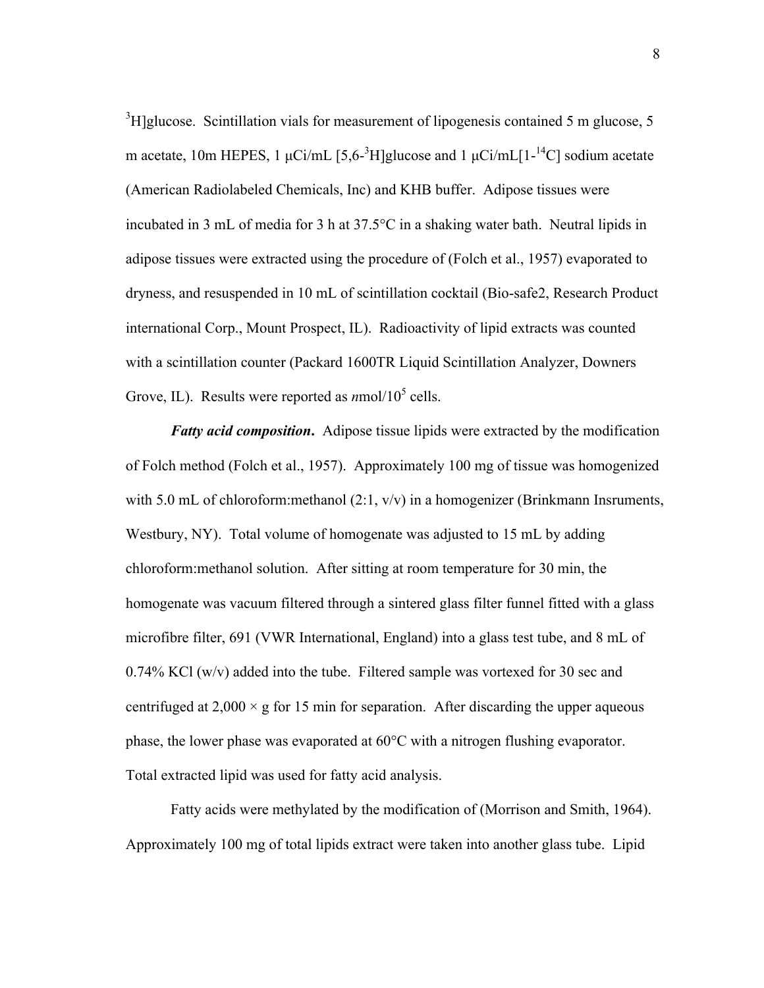${}^{3}$ H]glucose. Scintillation vials for measurement of lipogenesis contained 5 m glucose, 5 m acetate, 10m HEPES, 1  $\mu$ Ci/mL [5,6-<sup>3</sup>H]glucose and 1  $\mu$ Ci/mL[1-<sup>14</sup>C] sodium acetate (American Radiolabeled Chemicals, Inc) and KHB buffer. Adipose tissues were incubated in 3 mL of media for 3 h at 37.5°C in a shaking water bath. Neutral lipids in adipose tissues were extracted using the procedure of (Folch et al., 1957) evaporated to dryness, and resuspended in 10 mL of scintillation cocktail (Bio-safe2, Research Product international Corp., Mount Prospect, IL). Radioactivity of lipid extracts was counted with a scintillation counter (Packard 1600TR Liquid Scintillation Analyzer, Downers Grove, IL). Results were reported as  $n \text{mol}/10^5$  cells.

*Fatty acid composition***.** Adipose tissue lipids were extracted by the modification of Folch method (Folch et al., 1957). Approximately 100 mg of tissue was homogenized with 5.0 mL of chloroform: methanol  $(2:1, v/v)$  in a homogenizer (Brinkmann Insruments, Westbury, NY). Total volume of homogenate was adjusted to 15 mL by adding chloroform:methanol solution. After sitting at room temperature for 30 min, the homogenate was vacuum filtered through a sintered glass filter funnel fitted with a glass microfibre filter, 691 (VWR International, England) into a glass test tube, and 8 mL of 0.74% KCl (w/v) added into the tube. Filtered sample was vortexed for 30 sec and centrifuged at  $2,000 \times g$  for 15 min for separation. After discarding the upper aqueous phase, the lower phase was evaporated at 60°C with a nitrogen flushing evaporator. Total extracted lipid was used for fatty acid analysis.

Fatty acids were methylated by the modification of (Morrison and Smith, 1964). Approximately 100 mg of total lipids extract were taken into another glass tube. Lipid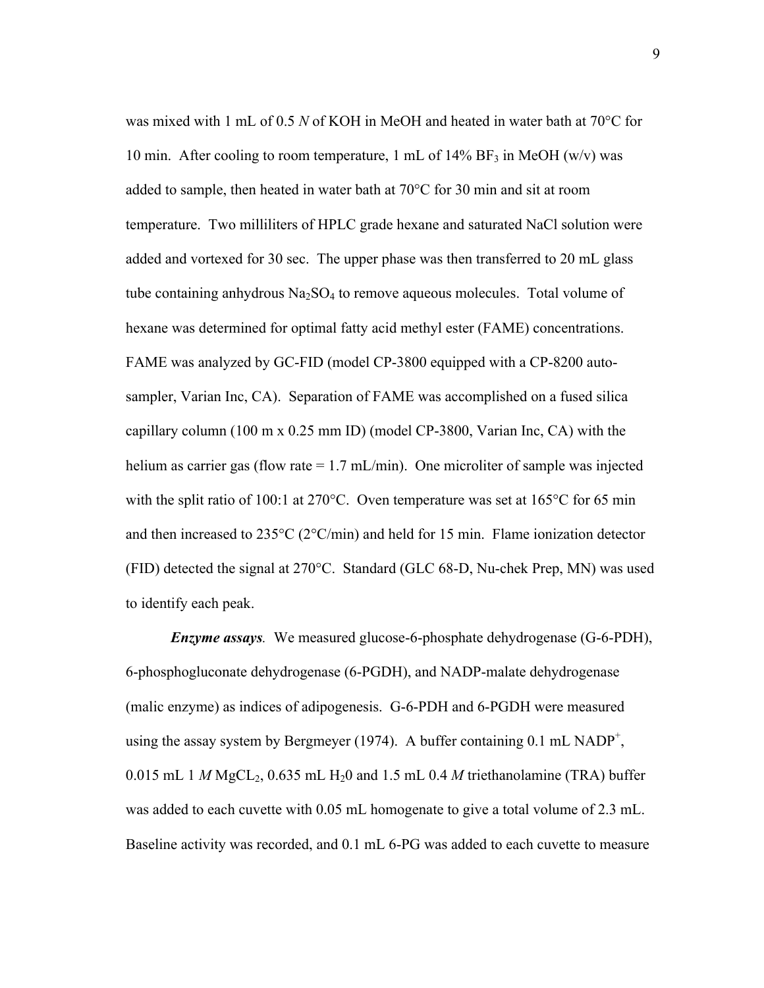was mixed with 1 mL of 0.5 *N* of KOH in MeOH and heated in water bath at 70°C for 10 min. After cooling to room temperature, 1 mL of 14% BF<sub>3</sub> in MeOH (w/v) was added to sample, then heated in water bath at 70°C for 30 min and sit at room temperature. Two milliliters of HPLC grade hexane and saturated NaCl solution were added and vortexed for 30 sec. The upper phase was then transferred to 20 mL glass tube containing anhydrous  $Na<sub>2</sub>SO<sub>4</sub>$  to remove aqueous molecules. Total volume of hexane was determined for optimal fatty acid methyl ester (FAME) concentrations. FAME was analyzed by GC-FID (model CP-3800 equipped with a CP-8200 autosampler, Varian Inc, CA). Separation of FAME was accomplished on a fused silica capillary column (100 m x 0.25 mm ID) (model CP-3800, Varian Inc, CA) with the helium as carrier gas (flow rate = 1.7 mL/min). One microliter of sample was injected with the split ratio of 100:1 at 270°C. Oven temperature was set at 165°C for 65 min and then increased to 235°C (2°C/min) and held for 15 min. Flame ionization detector (FID) detected the signal at 270°C. Standard (GLC 68-D, Nu-chek Prep, MN) was used to identify each peak.

*Enzyme assays.* We measured glucose-6-phosphate dehydrogenase (G-6-PDH), 6-phosphogluconate dehydrogenase (6-PGDH), and NADP-malate dehydrogenase (malic enzyme) as indices of adipogenesis. G-6-PDH and 6-PGDH were measured using the assay system by Bergmeyer (1974). A buffer containing  $0.1 \text{ mL NADP}^+$ , 0.015 mL 1  $M$  MgCL<sub>2</sub>, 0.635 mL H<sub>2</sub>0 and 1.5 mL 0.4  $M$  triethanolamine (TRA) buffer was added to each cuvette with 0.05 mL homogenate to give a total volume of 2.3 mL. Baseline activity was recorded, and 0.1 mL 6-PG was added to each cuvette to measure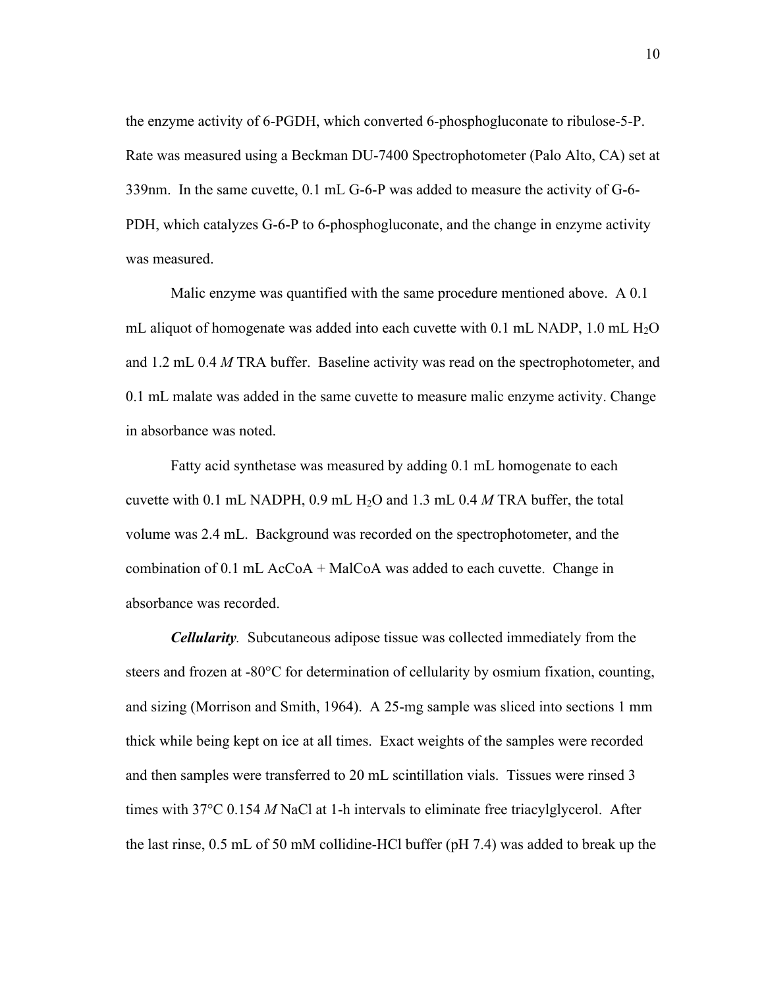the enzyme activity of 6-PGDH, which converted 6-phosphogluconate to ribulose-5-P. Rate was measured using a Beckman DU-7400 Spectrophotometer (Palo Alto, CA) set at 339nm. In the same cuvette, 0.1 mL G-6-P was added to measure the activity of G-6- PDH, which catalyzes G-6-P to 6-phosphogluconate, and the change in enzyme activity was measured.

Malic enzyme was quantified with the same procedure mentioned above. A 0.1 mL aliquot of homogenate was added into each cuvette with 0.1 mL NADP, 1.0 mL  $H_2O$ and 1.2 mL 0.4 *M* TRA buffer. Baseline activity was read on the spectrophotometer, and 0.1 mL malate was added in the same cuvette to measure malic enzyme activity. Change in absorbance was noted.

Fatty acid synthetase was measured by adding 0.1 mL homogenate to each cuvette with 0.1 mL NADPH, 0.9 mL H2O and 1.3 mL 0.4 *M* TRA buffer, the total volume was 2.4 mL. Background was recorded on the spectrophotometer, and the combination of 0.1 mL AcCoA + MalCoA was added to each cuvette. Change in absorbance was recorded.

*Cellularity.* Subcutaneous adipose tissue was collected immediately from the steers and frozen at -80°C for determination of cellularity by osmium fixation, counting, and sizing (Morrison and Smith, 1964). A 25-mg sample was sliced into sections 1 mm thick while being kept on ice at all times. Exact weights of the samples were recorded and then samples were transferred to 20 mL scintillation vials. Tissues were rinsed 3 times with 37°C 0.154 *M* NaCl at 1-h intervals to eliminate free triacylglycerol. After the last rinse, 0.5 mL of 50 mM collidine-HCl buffer (pH 7.4) was added to break up the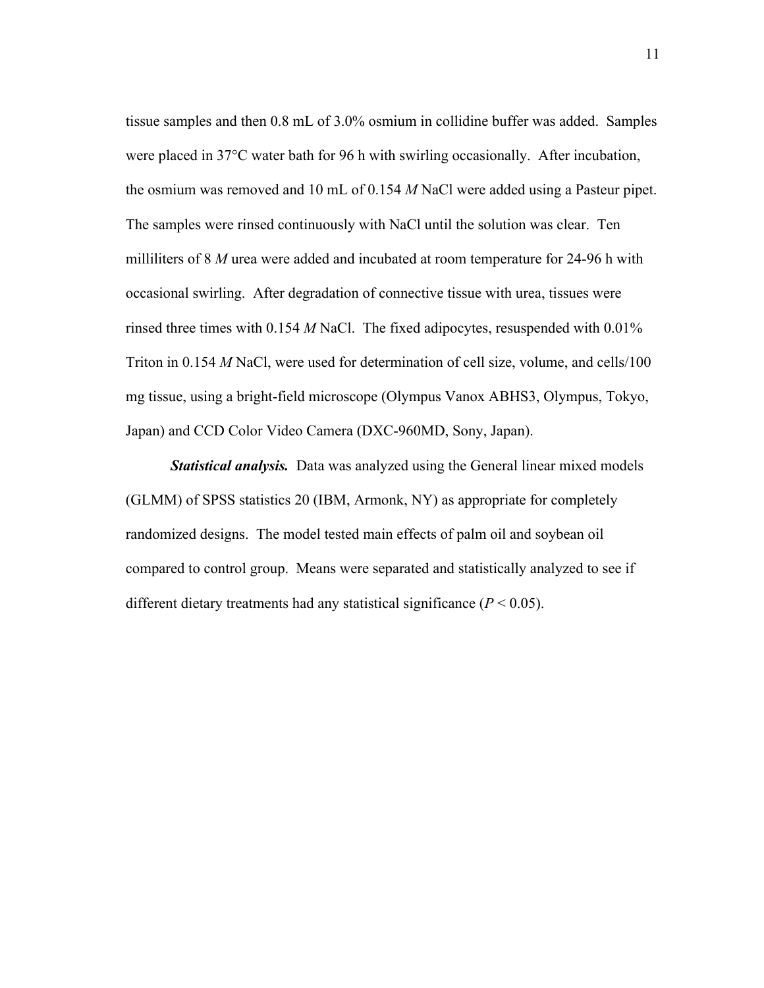tissue samples and then 0.8 mL of 3.0% osmium in collidine buffer was added. Samples were placed in 37°C water bath for 96 h with swirling occasionally. After incubation, the osmium was removed and 10 mL of 0.154 *M* NaCl were added using a Pasteur pipet. The samples were rinsed continuously with NaCl until the solution was clear. Ten milliliters of 8 *M* urea were added and incubated at room temperature for 24-96 h with occasional swirling. After degradation of connective tissue with urea, tissues were rinsed three times with 0.154 *M* NaCl. The fixed adipocytes, resuspended with 0.01% Triton in 0.154 *M* NaCl, were used for determination of cell size, volume, and cells/100 mg tissue, using a bright-field microscope (Olympus Vanox ABHS3, Olympus, Tokyo, Japan) and CCD Color Video Camera (DXC-960MD, Sony, Japan).

*Statistical analysis.* Data was analyzed using the General linear mixed models (GLMM) of SPSS statistics 20 (IBM, Armonk, NY) as appropriate for completely randomized designs. The model tested main effects of palm oil and soybean oil compared to control group. Means were separated and statistically analyzed to see if different dietary treatments had any statistical significance  $(P < 0.05)$ .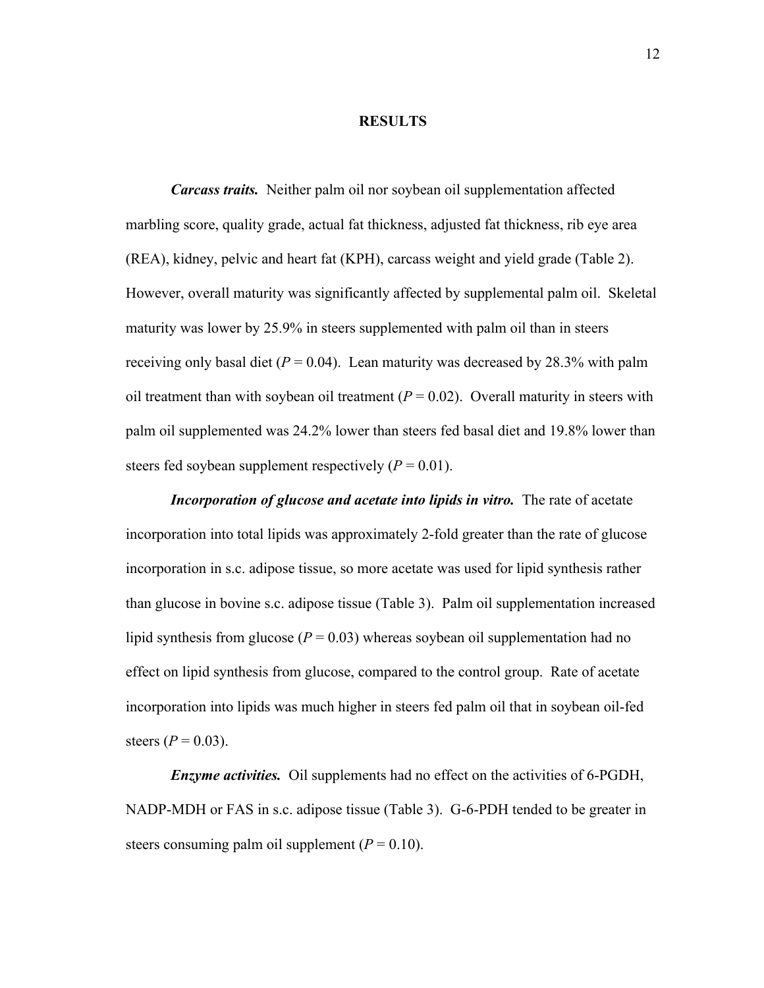#### **RESULTS**

*Carcass traits.* Neither palm oil nor soybean oil supplementation affected marbling score, quality grade, actual fat thickness, adjusted fat thickness, rib eye area (REA), kidney, pelvic and heart fat (KPH), carcass weight and yield grade (Table 2). However, overall maturity was significantly affected by supplemental palm oil. Skeletal maturity was lower by 25.9% in steers supplemented with palm oil than in steers receiving only basal diet ( $P = 0.04$ ). Lean maturity was decreased by 28.3% with palm oil treatment than with soybean oil treatment  $(P = 0.02)$ . Overall maturity in steers with palm oil supplemented was 24.2% lower than steers fed basal diet and 19.8% lower than steers fed soybean supplement respectively  $(P = 0.01)$ .

*Incorporation of glucose and acetate into lipids in vitro.* The rate of acetate incorporation into total lipids was approximately 2-fold greater than the rate of glucose incorporation in s.c. adipose tissue, so more acetate was used for lipid synthesis rather than glucose in bovine s.c. adipose tissue (Table 3). Palm oil supplementation increased lipid synthesis from glucose ( $P = 0.03$ ) whereas soybean oil supplementation had no effect on lipid synthesis from glucose, compared to the control group. Rate of acetate incorporation into lipids was much higher in steers fed palm oil that in soybean oil-fed steers ( $P = 0.03$ ).

*Enzyme activities.* Oil supplements had no effect on the activities of 6-PGDH, NADP-MDH or FAS in s.c. adipose tissue (Table 3). G-6-PDH tended to be greater in steers consuming palm oil supplement  $(P = 0.10)$ .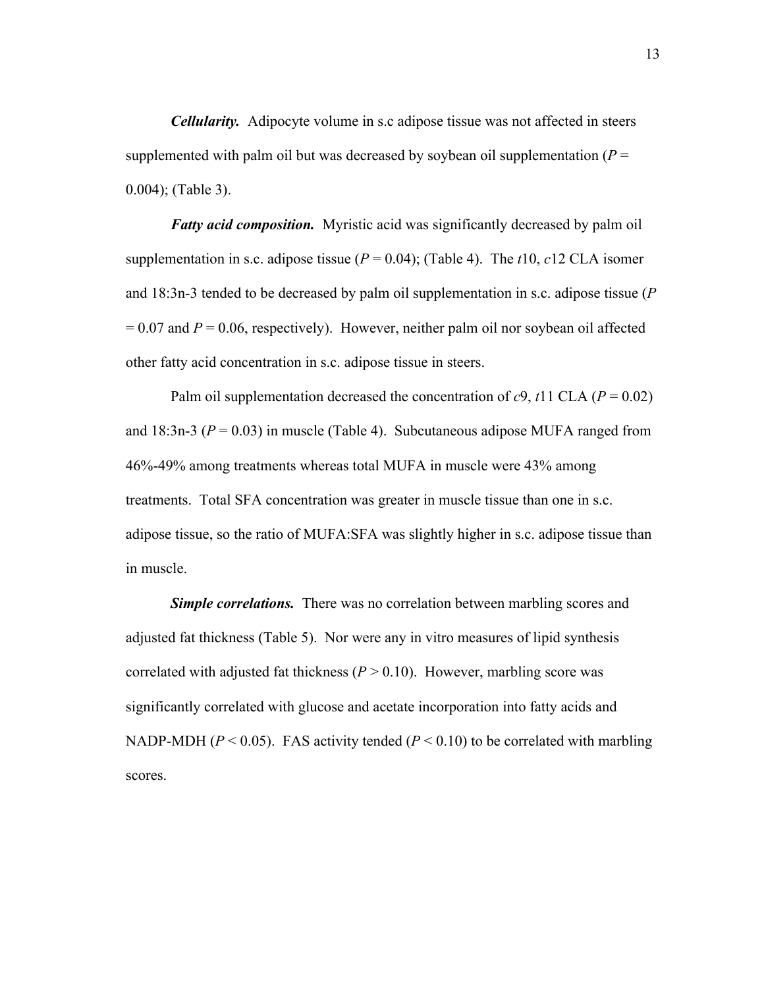*Cellularity.* Adipocyte volume in s.c adipose tissue was not affected in steers supplemented with palm oil but was decreased by soybean oil supplementation ( $P =$ 0.004); (Table 3).

*Fatty acid composition.* Myristic acid was significantly decreased by palm oil supplementation in s.c. adipose tissue ( $P = 0.04$ ); (Table 4). The *t*10, *c*12 CLA isomer and 18:3n-3 tended to be decreased by palm oil supplementation in s.c. adipose tissue (*P*  $= 0.07$  and  $P = 0.06$ , respectively). However, neither palm oil nor soybean oil affected other fatty acid concentration in s.c. adipose tissue in steers.

Palm oil supplementation decreased the concentration of  $c9$ ,  $t11$  CLA ( $P = 0.02$ ) and 18:3n-3 ( $P = 0.03$ ) in muscle (Table 4). Subcutaneous adipose MUFA ranged from 46%-49% among treatments whereas total MUFA in muscle were 43% among treatments. Total SFA concentration was greater in muscle tissue than one in s.c. adipose tissue, so the ratio of MUFA:SFA was slightly higher in s.c. adipose tissue than in muscle.

*Simple correlations.* There was no correlation between marbling scores and adjusted fat thickness (Table 5). Nor were any in vitro measures of lipid synthesis correlated with adjusted fat thickness  $(P > 0.10)$ . However, marbling score was significantly correlated with glucose and acetate incorporation into fatty acids and NADP-MDH ( $P < 0.05$ ). FAS activity tended ( $P < 0.10$ ) to be correlated with marbling scores.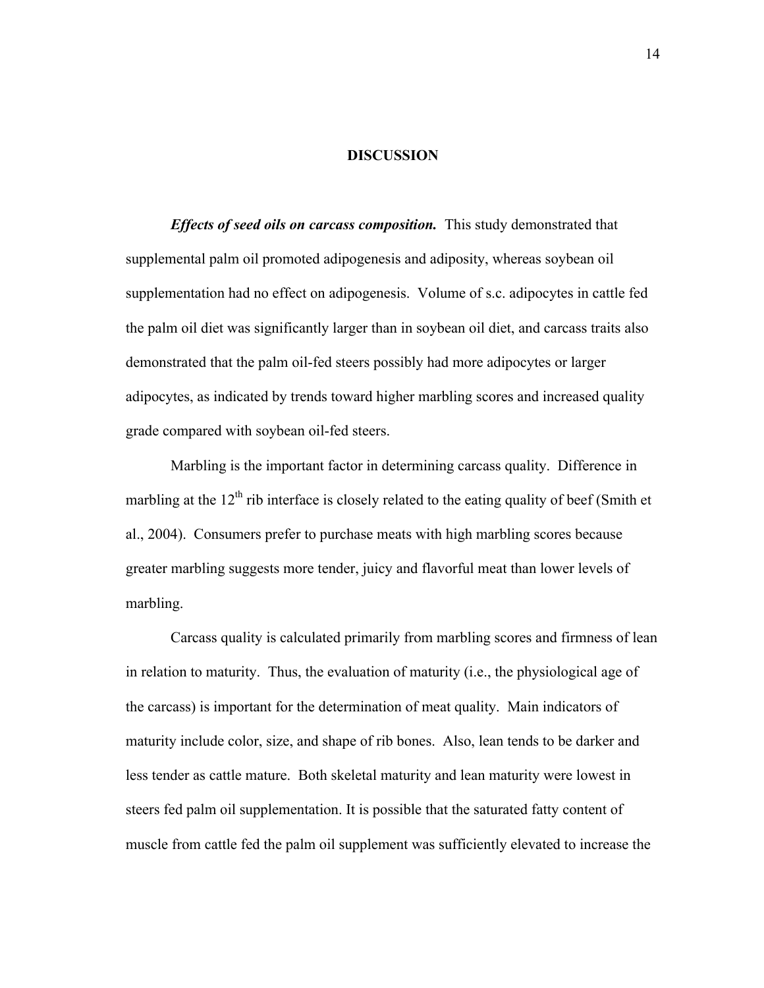#### **DISCUSSION**

*Effects of seed oils on carcass composition.* This study demonstrated that supplemental palm oil promoted adipogenesis and adiposity, whereas soybean oil supplementation had no effect on adipogenesis. Volume of s.c. adipocytes in cattle fed the palm oil diet was significantly larger than in soybean oil diet, and carcass traits also demonstrated that the palm oil-fed steers possibly had more adipocytes or larger adipocytes, as indicated by trends toward higher marbling scores and increased quality grade compared with soybean oil-fed steers.

Marbling is the important factor in determining carcass quality. Difference in marbling at the  $12<sup>th</sup>$  rib interface is closely related to the eating quality of beef (Smith et al., 2004). Consumers prefer to purchase meats with high marbling scores because greater marbling suggests more tender, juicy and flavorful meat than lower levels of marbling.

Carcass quality is calculated primarily from marbling scores and firmness of lean in relation to maturity. Thus, the evaluation of maturity (i.e., the physiological age of the carcass) is important for the determination of meat quality. Main indicators of maturity include color, size, and shape of rib bones. Also, lean tends to be darker and less tender as cattle mature. Both skeletal maturity and lean maturity were lowest in steers fed palm oil supplementation. It is possible that the saturated fatty content of muscle from cattle fed the palm oil supplement was sufficiently elevated to increase the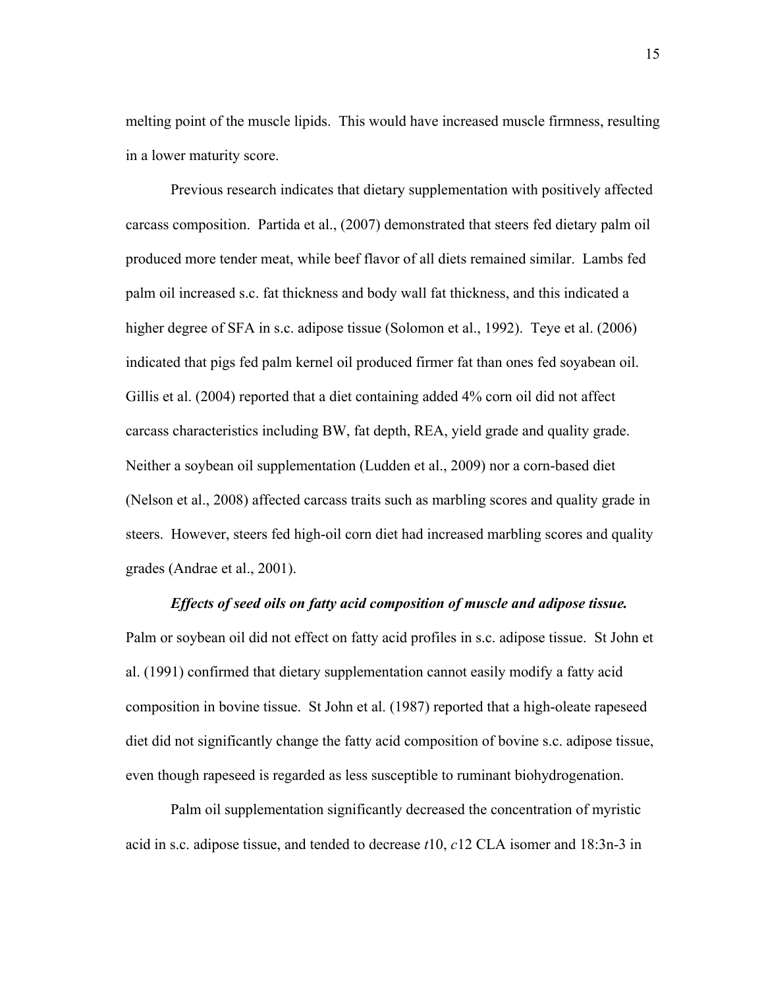melting point of the muscle lipids. This would have increased muscle firmness, resulting in a lower maturity score.

Previous research indicates that dietary supplementation with positively affected carcass composition. Partida et al., (2007) demonstrated that steers fed dietary palm oil produced more tender meat, while beef flavor of all diets remained similar. Lambs fed palm oil increased s.c. fat thickness and body wall fat thickness, and this indicated a higher degree of SFA in s.c. adipose tissue (Solomon et al., 1992). Teye et al. (2006) indicated that pigs fed palm kernel oil produced firmer fat than ones fed soyabean oil. Gillis et al. (2004) reported that a diet containing added 4% corn oil did not affect carcass characteristics including BW, fat depth, REA, yield grade and quality grade. Neither a soybean oil supplementation (Ludden et al., 2009) nor a corn-based diet (Nelson et al., 2008) affected carcass traits such as marbling scores and quality grade in steers. However, steers fed high-oil corn diet had increased marbling scores and quality grades (Andrae et al., 2001).

### *Effects of seed oils on fatty acid composition of muscle and adipose tissue.*

Palm or soybean oil did not effect on fatty acid profiles in s.c. adipose tissue. St John et al. (1991) confirmed that dietary supplementation cannot easily modify a fatty acid composition in bovine tissue. St John et al. (1987) reported that a high-oleate rapeseed diet did not significantly change the fatty acid composition of bovine s.c. adipose tissue, even though rapeseed is regarded as less susceptible to ruminant biohydrogenation.

Palm oil supplementation significantly decreased the concentration of myristic acid in s.c. adipose tissue, and tended to decrease *t*10, *c*12 CLA isomer and 18:3n-3 in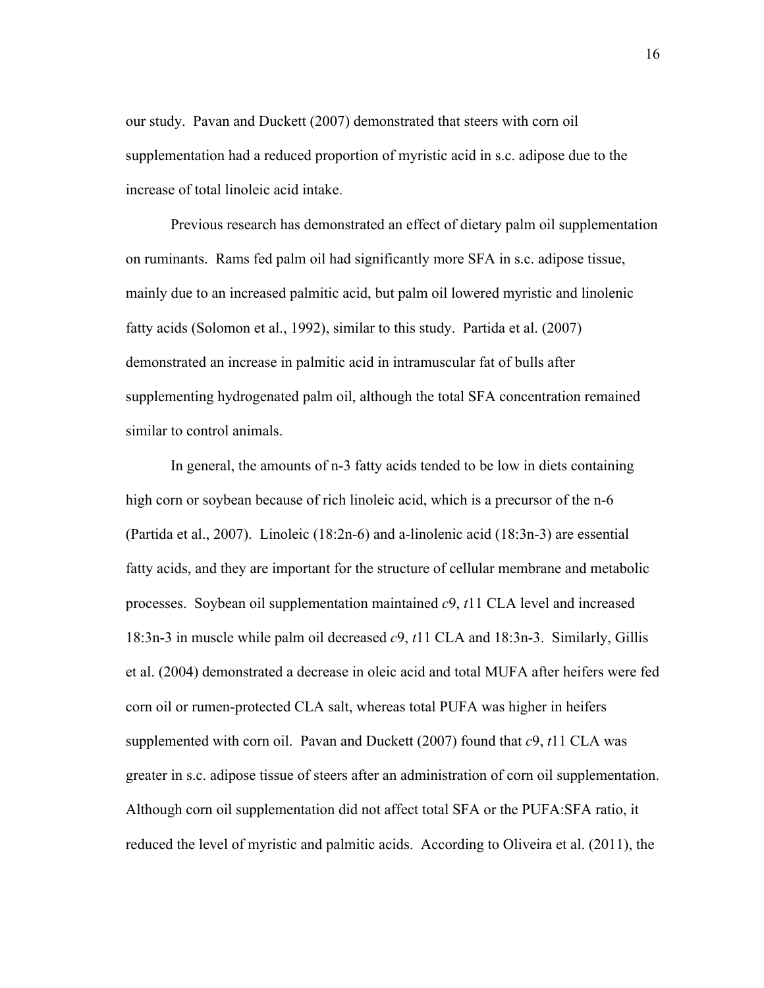our study. Pavan and Duckett (2007) demonstrated that steers with corn oil supplementation had a reduced proportion of myristic acid in s.c. adipose due to the increase of total linoleic acid intake.

Previous research has demonstrated an effect of dietary palm oil supplementation on ruminants. Rams fed palm oil had significantly more SFA in s.c. adipose tissue, mainly due to an increased palmitic acid, but palm oil lowered myristic and linolenic fatty acids (Solomon et al., 1992), similar to this study. Partida et al. (2007) demonstrated an increase in palmitic acid in intramuscular fat of bulls after supplementing hydrogenated palm oil, although the total SFA concentration remained similar to control animals.

In general, the amounts of n-3 fatty acids tended to be low in diets containing high corn or soybean because of rich linoleic acid, which is a precursor of the n-6 (Partida et al., 2007). Linoleic (18:2n-6) and a-linolenic acid (18:3n-3) are essential fatty acids, and they are important for the structure of cellular membrane and metabolic processes. Soybean oil supplementation maintained *c*9, *t*11 CLA level and increased 18:3n-3 in muscle while palm oil decreased *c*9, *t*11 CLA and 18:3n-3. Similarly, Gillis et al. (2004) demonstrated a decrease in oleic acid and total MUFA after heifers were fed corn oil or rumen-protected CLA salt, whereas total PUFA was higher in heifers supplemented with corn oil. Pavan and Duckett (2007) found that *c*9, *t*11 CLA was greater in s.c. adipose tissue of steers after an administration of corn oil supplementation. Although corn oil supplementation did not affect total SFA or the PUFA:SFA ratio, it reduced the level of myristic and palmitic acids. According to Oliveira et al. (2011), the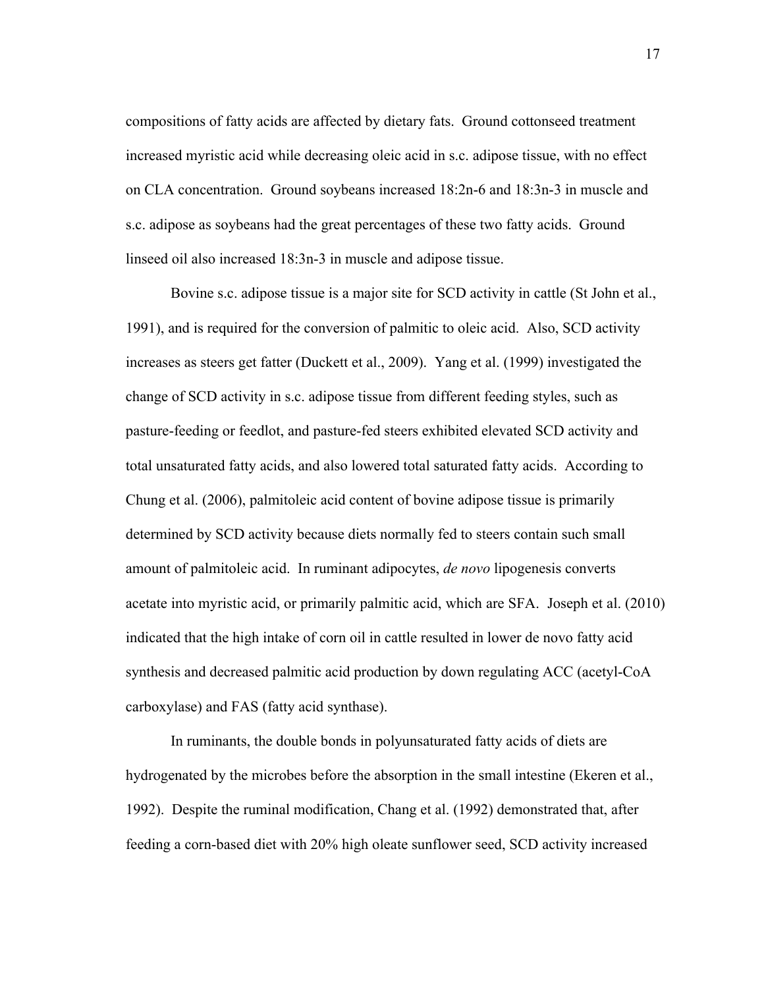compositions of fatty acids are affected by dietary fats. Ground cottonseed treatment increased myristic acid while decreasing oleic acid in s.c. adipose tissue, with no effect on CLA concentration. Ground soybeans increased 18:2n-6 and 18:3n-3 in muscle and s.c. adipose as soybeans had the great percentages of these two fatty acids. Ground linseed oil also increased 18:3n-3 in muscle and adipose tissue.

Bovine s.c. adipose tissue is a major site for SCD activity in cattle (St John et al., 1991), and is required for the conversion of palmitic to oleic acid. Also, SCD activity increases as steers get fatter (Duckett et al., 2009). Yang et al. (1999) investigated the change of SCD activity in s.c. adipose tissue from different feeding styles, such as pasture-feeding or feedlot, and pasture-fed steers exhibited elevated SCD activity and total unsaturated fatty acids, and also lowered total saturated fatty acids. According to Chung et al. (2006), palmitoleic acid content of bovine adipose tissue is primarily determined by SCD activity because diets normally fed to steers contain such small amount of palmitoleic acid. In ruminant adipocytes, *de novo* lipogenesis converts acetate into myristic acid, or primarily palmitic acid, which are SFA. Joseph et al. (2010) indicated that the high intake of corn oil in cattle resulted in lower de novo fatty acid synthesis and decreased palmitic acid production by down regulating ACC (acetyl-CoA carboxylase) and FAS (fatty acid synthase).

In ruminants, the double bonds in polyunsaturated fatty acids of diets are hydrogenated by the microbes before the absorption in the small intestine (Ekeren et al., 1992). Despite the ruminal modification, Chang et al. (1992) demonstrated that, after feeding a corn-based diet with 20% high oleate sunflower seed, SCD activity increased

17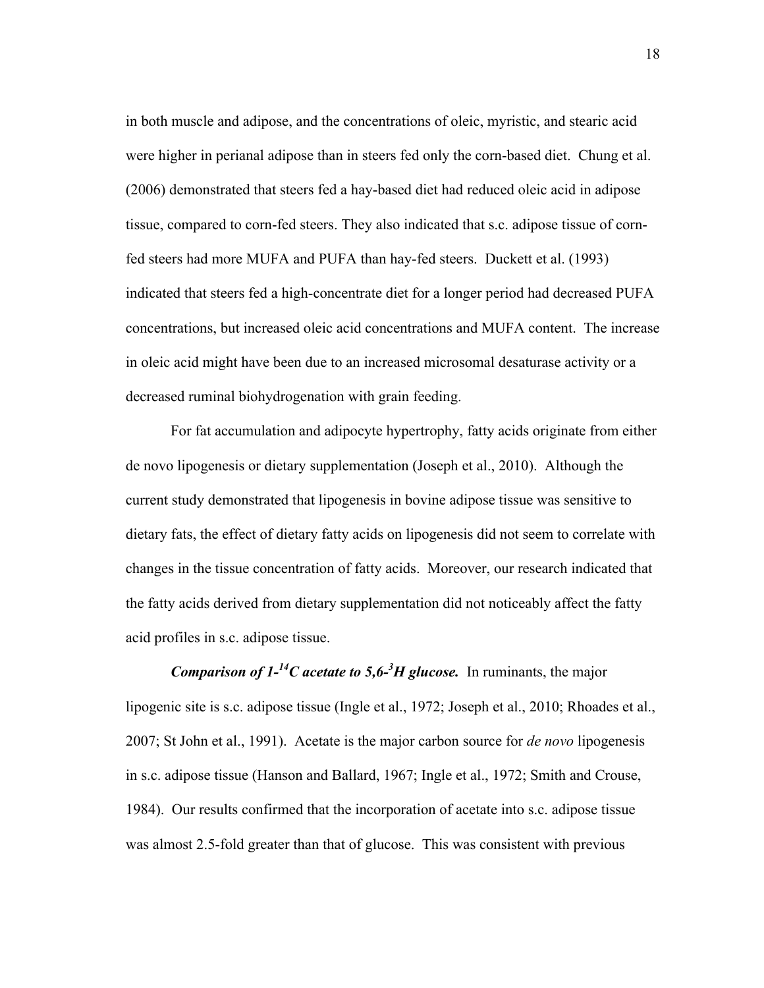in both muscle and adipose, and the concentrations of oleic, myristic, and stearic acid were higher in perianal adipose than in steers fed only the corn-based diet. Chung et al. (2006) demonstrated that steers fed a hay-based diet had reduced oleic acid in adipose tissue, compared to corn-fed steers. They also indicated that s.c. adipose tissue of cornfed steers had more MUFA and PUFA than hay-fed steers. Duckett et al. (1993) indicated that steers fed a high-concentrate diet for a longer period had decreased PUFA concentrations, but increased oleic acid concentrations and MUFA content. The increase in oleic acid might have been due to an increased microsomal desaturase activity or a decreased ruminal biohydrogenation with grain feeding.

For fat accumulation and adipocyte hypertrophy, fatty acids originate from either de novo lipogenesis or dietary supplementation (Joseph et al., 2010). Although the current study demonstrated that lipogenesis in bovine adipose tissue was sensitive to dietary fats, the effect of dietary fatty acids on lipogenesis did not seem to correlate with changes in the tissue concentration of fatty acids. Moreover, our research indicated that the fatty acids derived from dietary supplementation did not noticeably affect the fatty acid profiles in s.c. adipose tissue.

*Comparison of*  $1^{-14}C$  *acetate to 5,6<sup>-3</sup>H glucose.* **In ruminants, the major** lipogenic site is s.c. adipose tissue (Ingle et al., 1972; Joseph et al., 2010; Rhoades et al., 2007; St John et al., 1991). Acetate is the major carbon source for *de novo* lipogenesis in s.c. adipose tissue (Hanson and Ballard, 1967; Ingle et al., 1972; Smith and Crouse, 1984). Our results confirmed that the incorporation of acetate into s.c. adipose tissue was almost 2.5-fold greater than that of glucose. This was consistent with previous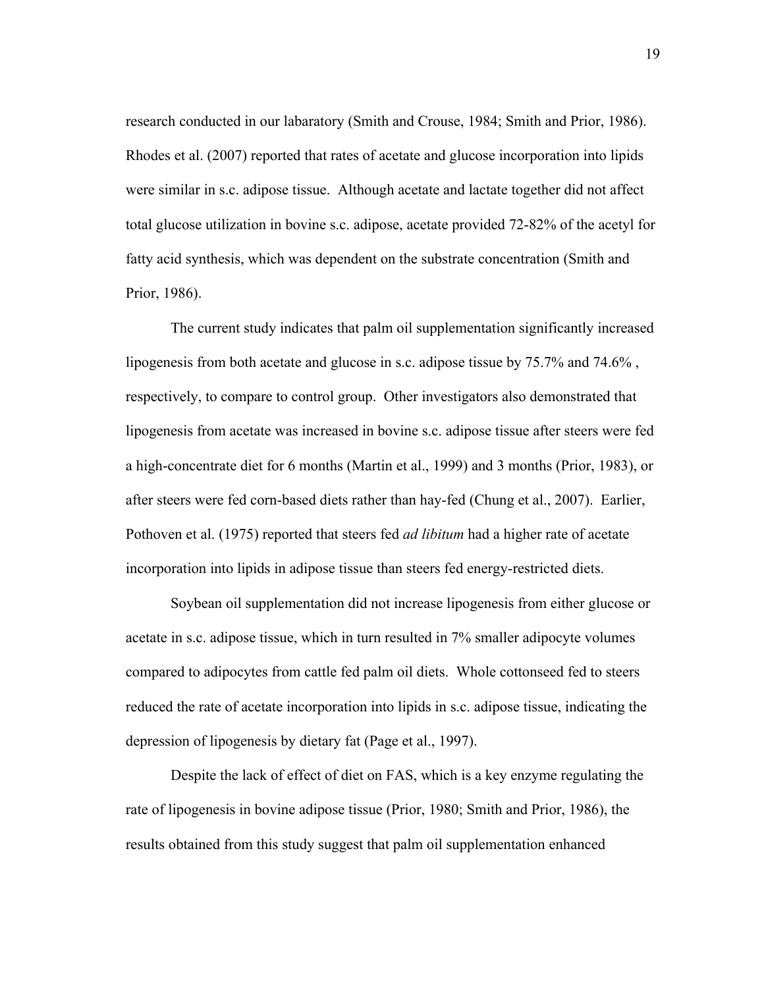research conducted in our labaratory (Smith and Crouse, 1984; Smith and Prior, 1986). Rhodes et al. (2007) reported that rates of acetate and glucose incorporation into lipids were similar in s.c. adipose tissue. Although acetate and lactate together did not affect total glucose utilization in bovine s.c. adipose, acetate provided 72-82% of the acetyl for fatty acid synthesis, which was dependent on the substrate concentration (Smith and Prior, 1986).

The current study indicates that palm oil supplementation significantly increased lipogenesis from both acetate and glucose in s.c. adipose tissue by 75.7% and 74.6% , respectively, to compare to control group. Other investigators also demonstrated that lipogenesis from acetate was increased in bovine s.c. adipose tissue after steers were fed a high-concentrate diet for 6 months (Martin et al., 1999) and 3 months (Prior, 1983), or after steers were fed corn-based diets rather than hay-fed (Chung et al., 2007). Earlier, Pothoven et al. (1975) reported that steers fed *ad libitum* had a higher rate of acetate incorporation into lipids in adipose tissue than steers fed energy-restricted diets.

Soybean oil supplementation did not increase lipogenesis from either glucose or acetate in s.c. adipose tissue, which in turn resulted in 7% smaller adipocyte volumes compared to adipocytes from cattle fed palm oil diets. Whole cottonseed fed to steers reduced the rate of acetate incorporation into lipids in s.c. adipose tissue, indicating the depression of lipogenesis by dietary fat (Page et al., 1997).

Despite the lack of effect of diet on FAS, which is a key enzyme regulating the rate of lipogenesis in bovine adipose tissue (Prior, 1980; Smith and Prior, 1986), the results obtained from this study suggest that palm oil supplementation enhanced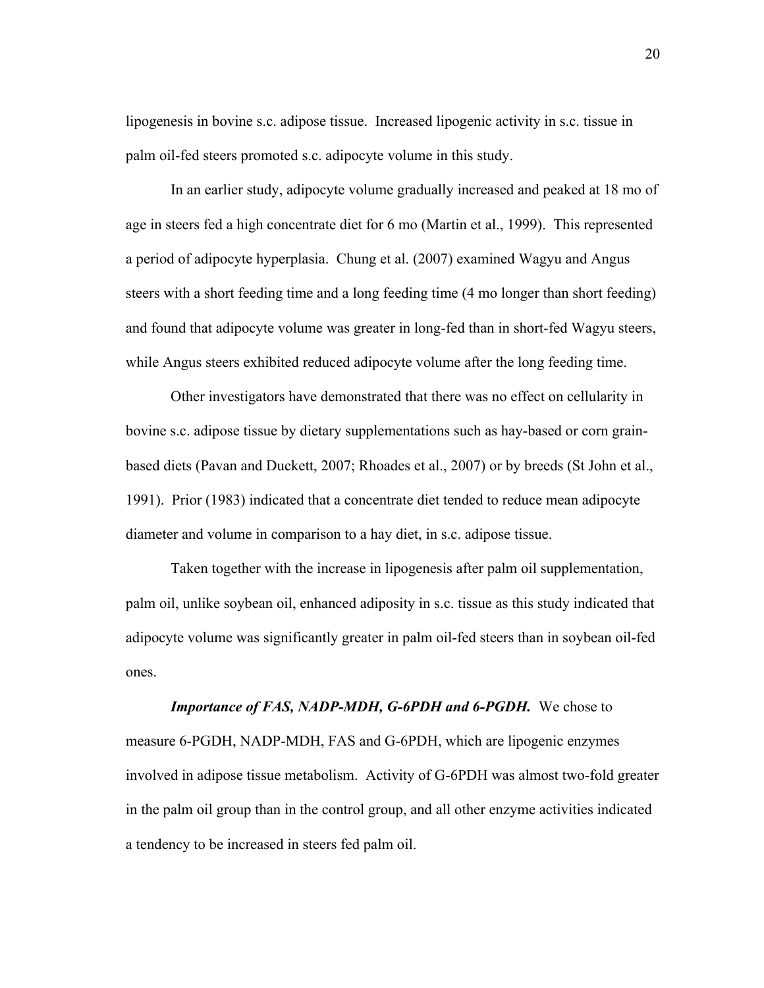lipogenesis in bovine s.c. adipose tissue. Increased lipogenic activity in s.c. tissue in palm oil-fed steers promoted s.c. adipocyte volume in this study.

In an earlier study, adipocyte volume gradually increased and peaked at 18 mo of age in steers fed a high concentrate diet for 6 mo (Martin et al., 1999). This represented a period of adipocyte hyperplasia. Chung et al. (2007) examined Wagyu and Angus steers with a short feeding time and a long feeding time (4 mo longer than short feeding) and found that adipocyte volume was greater in long-fed than in short-fed Wagyu steers, while Angus steers exhibited reduced adipocyte volume after the long feeding time.

Other investigators have demonstrated that there was no effect on cellularity in bovine s.c. adipose tissue by dietary supplementations such as hay-based or corn grainbased diets (Pavan and Duckett, 2007; Rhoades et al., 2007) or by breeds (St John et al., 1991). Prior (1983) indicated that a concentrate diet tended to reduce mean adipocyte diameter and volume in comparison to a hay diet, in s.c. adipose tissue.

Taken together with the increase in lipogenesis after palm oil supplementation, palm oil, unlike soybean oil, enhanced adiposity in s.c. tissue as this study indicated that adipocyte volume was significantly greater in palm oil-fed steers than in soybean oil-fed ones.

*Importance of FAS, NADP-MDH, G-6PDH and 6-PGDH.* We chose to measure 6-PGDH, NADP-MDH, FAS and G-6PDH, which are lipogenic enzymes involved in adipose tissue metabolism. Activity of G-6PDH was almost two-fold greater in the palm oil group than in the control group, and all other enzyme activities indicated a tendency to be increased in steers fed palm oil.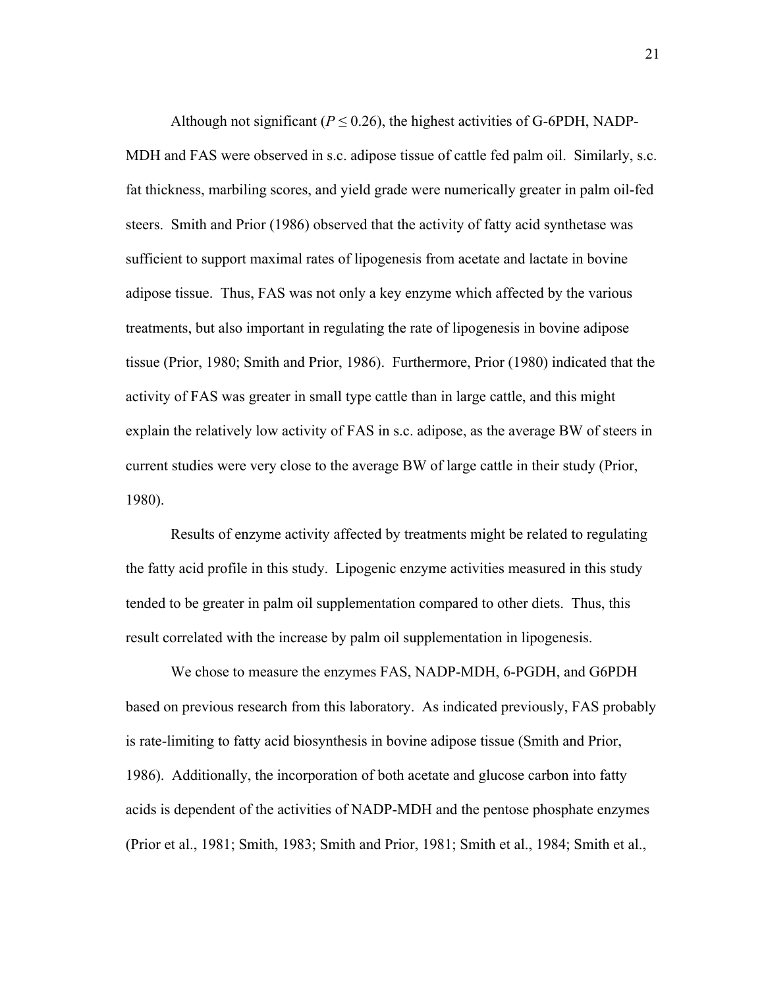Although not significant ( $P \le 0.26$ ), the highest activities of G-6PDH, NADP-MDH and FAS were observed in s.c. adipose tissue of cattle fed palm oil. Similarly, s.c. fat thickness, marbiling scores, and yield grade were numerically greater in palm oil-fed steers. Smith and Prior (1986) observed that the activity of fatty acid synthetase was sufficient to support maximal rates of lipogenesis from acetate and lactate in bovine adipose tissue. Thus, FAS was not only a key enzyme which affected by the various treatments, but also important in regulating the rate of lipogenesis in bovine adipose tissue (Prior, 1980; Smith and Prior, 1986). Furthermore, Prior (1980) indicated that the activity of FAS was greater in small type cattle than in large cattle, and this might explain the relatively low activity of FAS in s.c. adipose, as the average BW of steers in current studies were very close to the average BW of large cattle in their study (Prior, 1980).

Results of enzyme activity affected by treatments might be related to regulating the fatty acid profile in this study. Lipogenic enzyme activities measured in this study tended to be greater in palm oil supplementation compared to other diets. Thus, this result correlated with the increase by palm oil supplementation in lipogenesis.

We chose to measure the enzymes FAS, NADP-MDH, 6-PGDH, and G6PDH based on previous research from this laboratory. As indicated previously, FAS probably is rate-limiting to fatty acid biosynthesis in bovine adipose tissue (Smith and Prior, 1986). Additionally, the incorporation of both acetate and glucose carbon into fatty acids is dependent of the activities of NADP-MDH and the pentose phosphate enzymes (Prior et al., 1981; Smith, 1983; Smith and Prior, 1981; Smith et al., 1984; Smith et al.,

21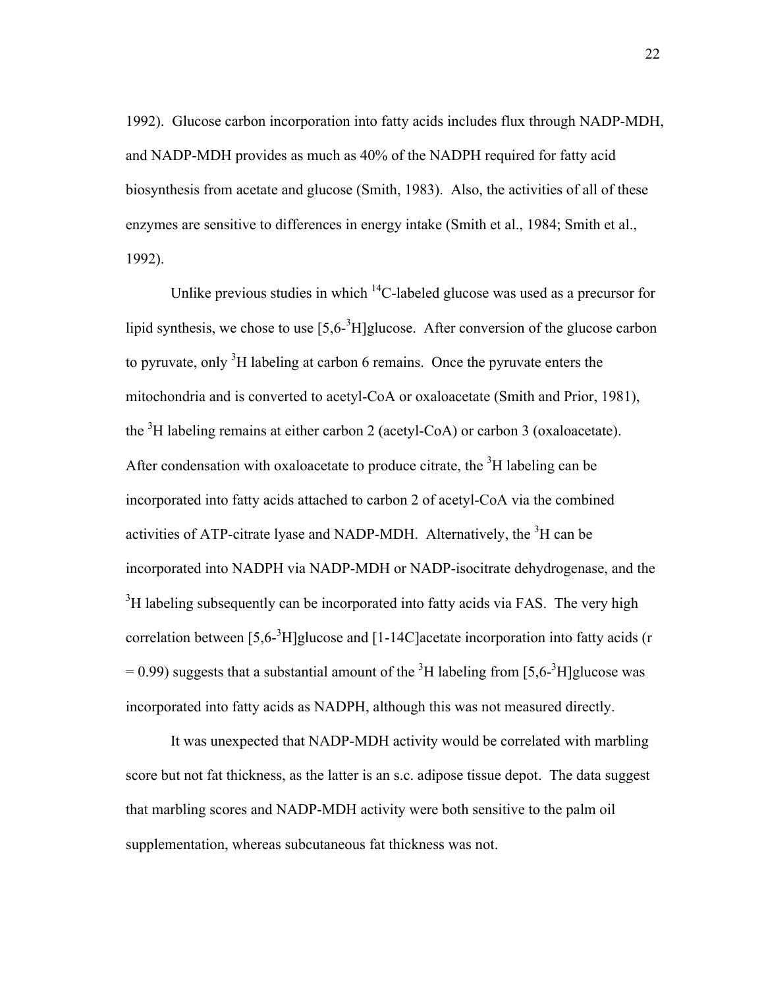1992). Glucose carbon incorporation into fatty acids includes flux through NADP-MDH, and NADP-MDH provides as much as 40% of the NADPH required for fatty acid biosynthesis from acetate and glucose (Smith, 1983). Also, the activities of all of these enzymes are sensitive to differences in energy intake (Smith et al., 1984; Smith et al., 1992).

Unlike previous studies in which  ${}^{14}C$ -labeled glucose was used as a precursor for lipid synthesis, we chose to use  $[5,6^{-3}H]$ glucose. After conversion of the glucose carbon to pyruvate, only  ${}^{3}H$  labeling at carbon 6 remains. Once the pyruvate enters the mitochondria and is converted to acetyl-CoA or oxaloacetate (Smith and Prior, 1981), the  ${}^{3}H$  labeling remains at either carbon 2 (acetyl-CoA) or carbon 3 (oxaloacetate). After condensation with oxaloacetate to produce citrate, the  ${}^{3}H$  labeling can be incorporated into fatty acids attached to carbon 2 of acetyl-CoA via the combined activities of ATP-citrate lyase and NADP-MDH. Alternatively, the  ${}^{3}$ H can be incorporated into NADPH via NADP-MDH or NADP-isocitrate dehydrogenase, and the  $3H$  labeling subsequently can be incorporated into fatty acids via FAS. The very high correlation between [5,6<sup>-3</sup>H]glucose and [1-14C]acetate incorporation into fatty acids (r  $= 0.99$ ) suggests that a substantial amount of the <sup>3</sup>H labeling from [5,6-<sup>3</sup>H]glucose was incorporated into fatty acids as NADPH, although this was not measured directly.

It was unexpected that NADP-MDH activity would be correlated with marbling score but not fat thickness, as the latter is an s.c. adipose tissue depot. The data suggest that marbling scores and NADP-MDH activity were both sensitive to the palm oil supplementation, whereas subcutaneous fat thickness was not.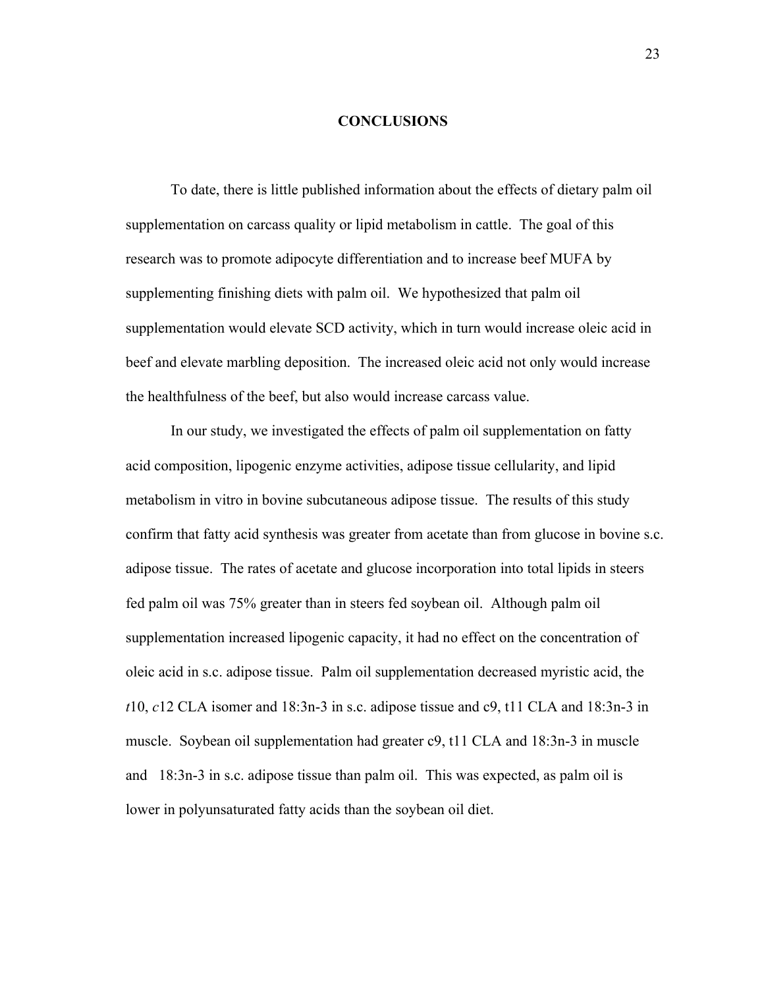### **CONCLUSIONS**

To date, there is little published information about the effects of dietary palm oil supplementation on carcass quality or lipid metabolism in cattle. The goal of this research was to promote adipocyte differentiation and to increase beef MUFA by supplementing finishing diets with palm oil. We hypothesized that palm oil supplementation would elevate SCD activity, which in turn would increase oleic acid in beef and elevate marbling deposition. The increased oleic acid not only would increase the healthfulness of the beef, but also would increase carcass value.

In our study, we investigated the effects of palm oil supplementation on fatty acid composition, lipogenic enzyme activities, adipose tissue cellularity, and lipid metabolism in vitro in bovine subcutaneous adipose tissue. The results of this study confirm that fatty acid synthesis was greater from acetate than from glucose in bovine s.c. adipose tissue. The rates of acetate and glucose incorporation into total lipids in steers fed palm oil was 75% greater than in steers fed soybean oil. Although palm oil supplementation increased lipogenic capacity, it had no effect on the concentration of oleic acid in s.c. adipose tissue. Palm oil supplementation decreased myristic acid, the *t*10, *c*12 CLA isomer and 18:3n-3 in s.c. adipose tissue and c9, t11 CLA and 18:3n-3 in muscle. Soybean oil supplementation had greater c9, t11 CLA and 18:3n-3 in muscle and 18:3n-3 in s.c. adipose tissue than palm oil. This was expected, as palm oil is lower in polyunsaturated fatty acids than the soybean oil diet.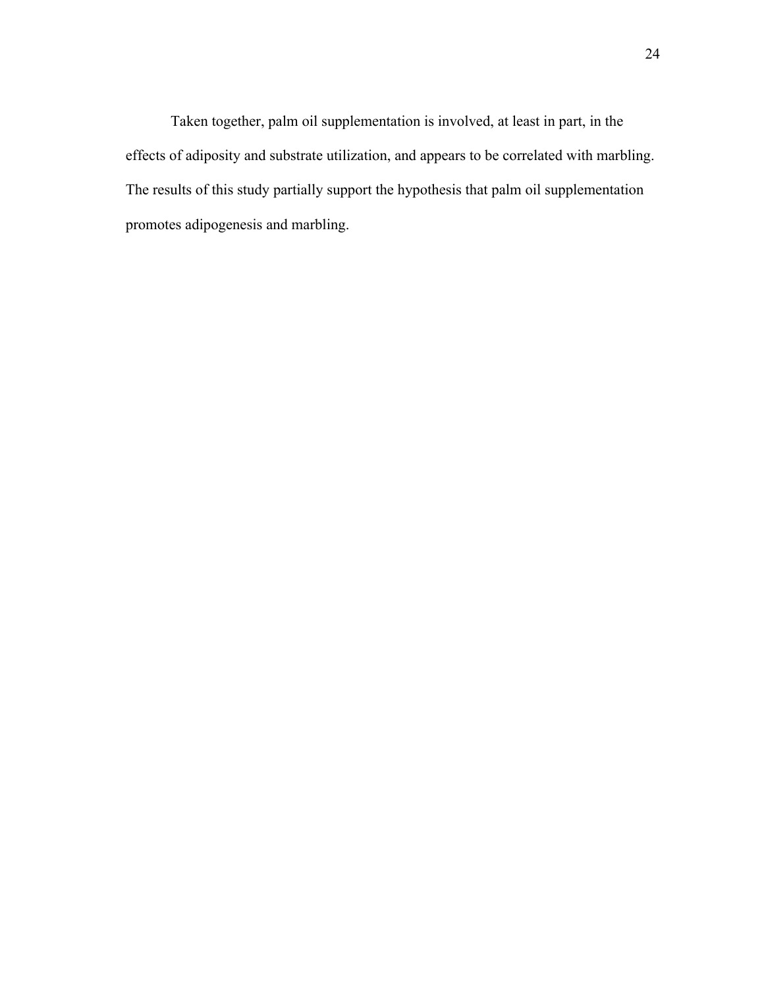Taken together, palm oil supplementation is involved, at least in part, in the effects of adiposity and substrate utilization, and appears to be correlated with marbling. The results of this study partially support the hypothesis that palm oil supplementation promotes adipogenesis and marbling.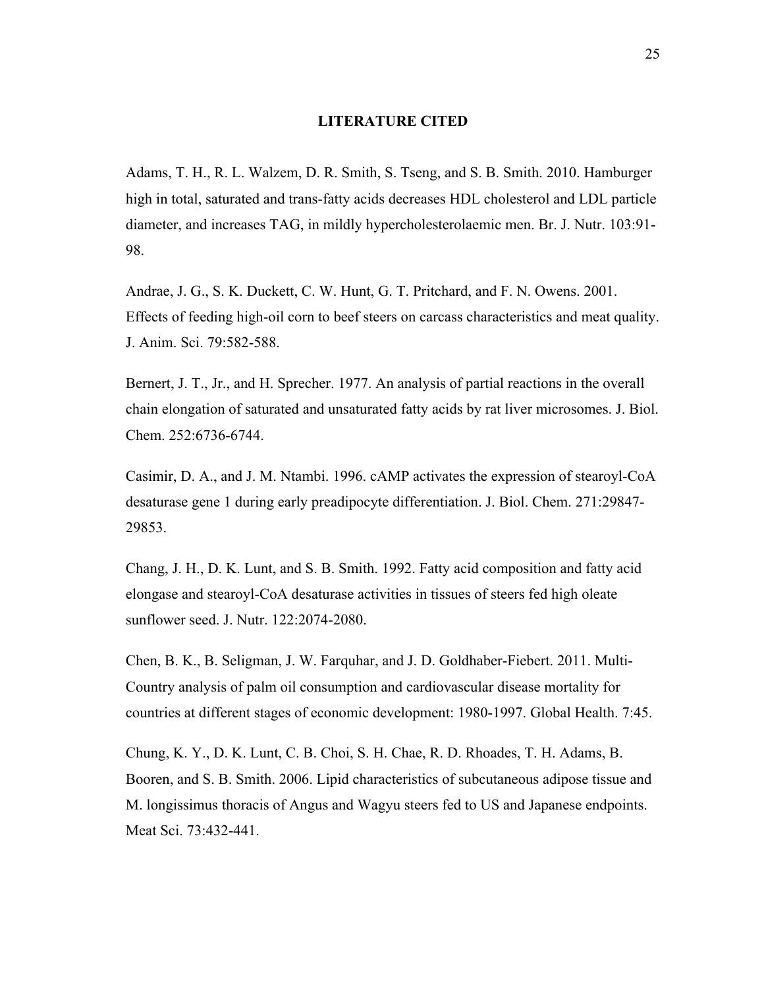### **LITERATURE CITED**

Adams, T. H., R. L. Walzem, D. R. Smith, S. Tseng, and S. B. Smith. 2010. Hamburger high in total, saturated and trans-fatty acids decreases HDL cholesterol and LDL particle diameter, and increases TAG, in mildly hypercholesterolaemic men. Br. J. Nutr. 103:91- 98.

Andrae, J. G., S. K. Duckett, C. W. Hunt, G. T. Pritchard, and F. N. Owens. 2001. Effects of feeding high-oil corn to beef steers on carcass characteristics and meat quality. J. Anim. Sci. 79:582-588.

Bernert, J. T., Jr., and H. Sprecher. 1977. An analysis of partial reactions in the overall chain elongation of saturated and unsaturated fatty acids by rat liver microsomes. J. Biol. Chem. 252:6736-6744.

Casimir, D. A., and J. M. Ntambi. 1996. cAMP activates the expression of stearoyl-CoA desaturase gene 1 during early preadipocyte differentiation. J. Biol. Chem. 271:29847- 29853.

Chang, J. H., D. K. Lunt, and S. B. Smith. 1992. Fatty acid composition and fatty acid elongase and stearoyl-CoA desaturase activities in tissues of steers fed high oleate sunflower seed. J. Nutr. 122:2074-2080.

Chen, B. K., B. Seligman, J. W. Farquhar, and J. D. Goldhaber-Fiebert. 2011. Multi-Country analysis of palm oil consumption and cardiovascular disease mortality for countries at different stages of economic development: 1980-1997. Global Health. 7:45.

Chung, K. Y., D. K. Lunt, C. B. Choi, S. H. Chae, R. D. Rhoades, T. H. Adams, B. Booren, and S. B. Smith. 2006. Lipid characteristics of subcutaneous adipose tissue and M. longissimus thoracis of Angus and Wagyu steers fed to US and Japanese endpoints. Meat Sci. 73:432-441.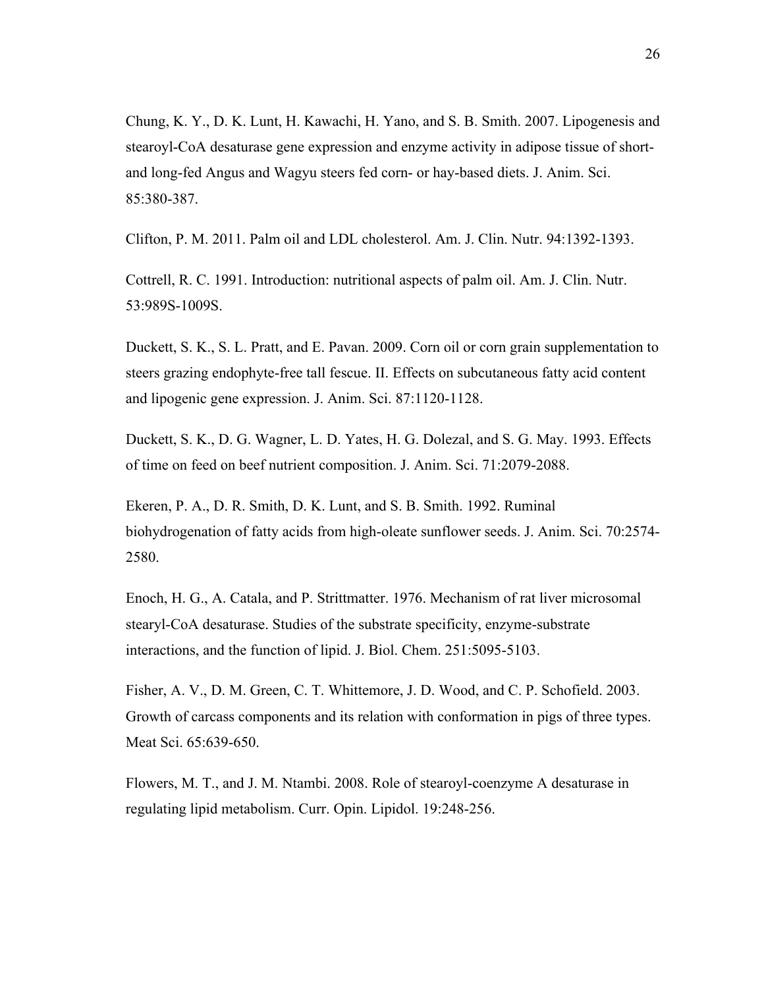Chung, K. Y., D. K. Lunt, H. Kawachi, H. Yano, and S. B. Smith. 2007. Lipogenesis and stearoyl-CoA desaturase gene expression and enzyme activity in adipose tissue of shortand long-fed Angus and Wagyu steers fed corn- or hay-based diets. J. Anim. Sci. 85:380-387.

Clifton, P. M. 2011. Palm oil and LDL cholesterol. Am. J. Clin. Nutr. 94:1392-1393.

Cottrell, R. C. 1991. Introduction: nutritional aspects of palm oil. Am. J. Clin. Nutr. 53:989S-1009S.

Duckett, S. K., S. L. Pratt, and E. Pavan. 2009. Corn oil or corn grain supplementation to steers grazing endophyte-free tall fescue. II. Effects on subcutaneous fatty acid content and lipogenic gene expression. J. Anim. Sci. 87:1120-1128.

Duckett, S. K., D. G. Wagner, L. D. Yates, H. G. Dolezal, and S. G. May. 1993. Effects of time on feed on beef nutrient composition. J. Anim. Sci. 71:2079-2088.

Ekeren, P. A., D. R. Smith, D. K. Lunt, and S. B. Smith. 1992. Ruminal biohydrogenation of fatty acids from high-oleate sunflower seeds. J. Anim. Sci. 70:2574- 2580.

Enoch, H. G., A. Catala, and P. Strittmatter. 1976. Mechanism of rat liver microsomal stearyl-CoA desaturase. Studies of the substrate specificity, enzyme-substrate interactions, and the function of lipid. J. Biol. Chem. 251:5095-5103.

Fisher, A. V., D. M. Green, C. T. Whittemore, J. D. Wood, and C. P. Schofield. 2003. Growth of carcass components and its relation with conformation in pigs of three types. Meat Sci. 65:639-650.

Flowers, M. T., and J. M. Ntambi. 2008. Role of stearoyl-coenzyme A desaturase in regulating lipid metabolism. Curr. Opin. Lipidol. 19:248-256.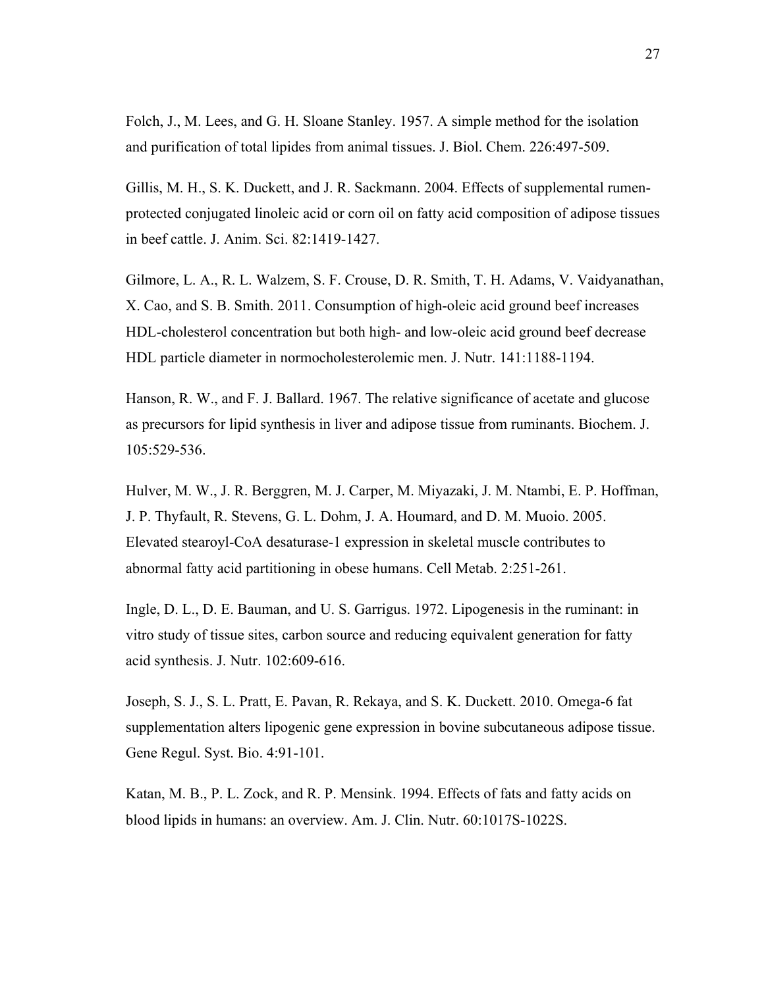Folch, J., M. Lees, and G. H. Sloane Stanley. 1957. A simple method for the isolation and purification of total lipides from animal tissues. J. Biol. Chem. 226:497-509.

Gillis, M. H., S. K. Duckett, and J. R. Sackmann. 2004. Effects of supplemental rumenprotected conjugated linoleic acid or corn oil on fatty acid composition of adipose tissues in beef cattle. J. Anim. Sci. 82:1419-1427.

Gilmore, L. A., R. L. Walzem, S. F. Crouse, D. R. Smith, T. H. Adams, V. Vaidyanathan, X. Cao, and S. B. Smith. 2011. Consumption of high-oleic acid ground beef increases HDL-cholesterol concentration but both high- and low-oleic acid ground beef decrease HDL particle diameter in normocholesterolemic men. J. Nutr. 141:1188-1194.

Hanson, R. W., and F. J. Ballard. 1967. The relative significance of acetate and glucose as precursors for lipid synthesis in liver and adipose tissue from ruminants. Biochem. J. 105:529-536.

Hulver, M. W., J. R. Berggren, M. J. Carper, M. Miyazaki, J. M. Ntambi, E. P. Hoffman, J. P. Thyfault, R. Stevens, G. L. Dohm, J. A. Houmard, and D. M. Muoio. 2005. Elevated stearoyl-CoA desaturase-1 expression in skeletal muscle contributes to abnormal fatty acid partitioning in obese humans. Cell Metab. 2:251-261.

Ingle, D. L., D. E. Bauman, and U. S. Garrigus. 1972. Lipogenesis in the ruminant: in vitro study of tissue sites, carbon source and reducing equivalent generation for fatty acid synthesis. J. Nutr. 102:609-616.

Joseph, S. J., S. L. Pratt, E. Pavan, R. Rekaya, and S. K. Duckett. 2010. Omega-6 fat supplementation alters lipogenic gene expression in bovine subcutaneous adipose tissue. Gene Regul. Syst. Bio. 4:91-101.

Katan, M. B., P. L. Zock, and R. P. Mensink. 1994. Effects of fats and fatty acids on blood lipids in humans: an overview. Am. J. Clin. Nutr. 60:1017S-1022S.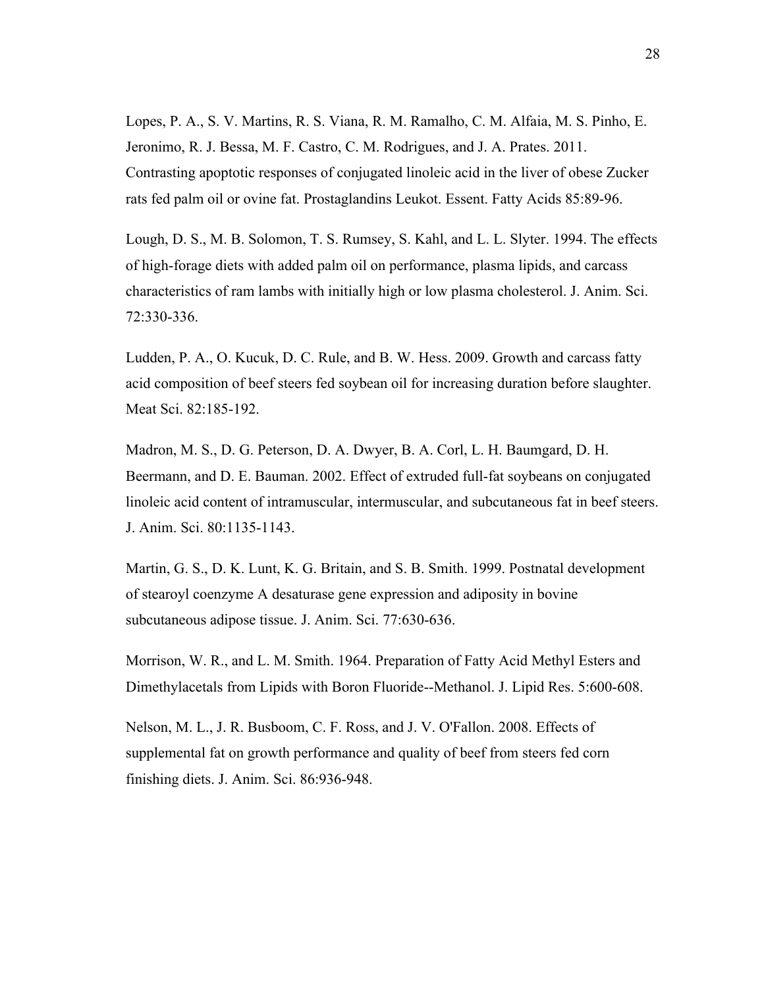Lopes, P. A., S. V. Martins, R. S. Viana, R. M. Ramalho, C. M. Alfaia, M. S. Pinho, E. Jeronimo, R. J. Bessa, M. F. Castro, C. M. Rodrigues, and J. A. Prates. 2011. Contrasting apoptotic responses of conjugated linoleic acid in the liver of obese Zucker rats fed palm oil or ovine fat. Prostaglandins Leukot. Essent. Fatty Acids 85:89-96.

Lough, D. S., M. B. Solomon, T. S. Rumsey, S. Kahl, and L. L. Slyter. 1994. The effects of high-forage diets with added palm oil on performance, plasma lipids, and carcass characteristics of ram lambs with initially high or low plasma cholesterol. J. Anim. Sci. 72:330-336.

Ludden, P. A., O. Kucuk, D. C. Rule, and B. W. Hess. 2009. Growth and carcass fatty acid composition of beef steers fed soybean oil for increasing duration before slaughter. Meat Sci. 82:185-192.

Madron, M. S., D. G. Peterson, D. A. Dwyer, B. A. Corl, L. H. Baumgard, D. H. Beermann, and D. E. Bauman. 2002. Effect of extruded full-fat soybeans on conjugated linoleic acid content of intramuscular, intermuscular, and subcutaneous fat in beef steers. J. Anim. Sci. 80:1135-1143.

Martin, G. S., D. K. Lunt, K. G. Britain, and S. B. Smith. 1999. Postnatal development of stearoyl coenzyme A desaturase gene expression and adiposity in bovine subcutaneous adipose tissue. J. Anim. Sci. 77:630-636.

Morrison, W. R., and L. M. Smith. 1964. Preparation of Fatty Acid Methyl Esters and Dimethylacetals from Lipids with Boron Fluoride--Methanol. J. Lipid Res. 5:600-608.

Nelson, M. L., J. R. Busboom, C. F. Ross, and J. V. O'Fallon. 2008. Effects of supplemental fat on growth performance and quality of beef from steers fed corn finishing diets. J. Anim. Sci. 86:936-948.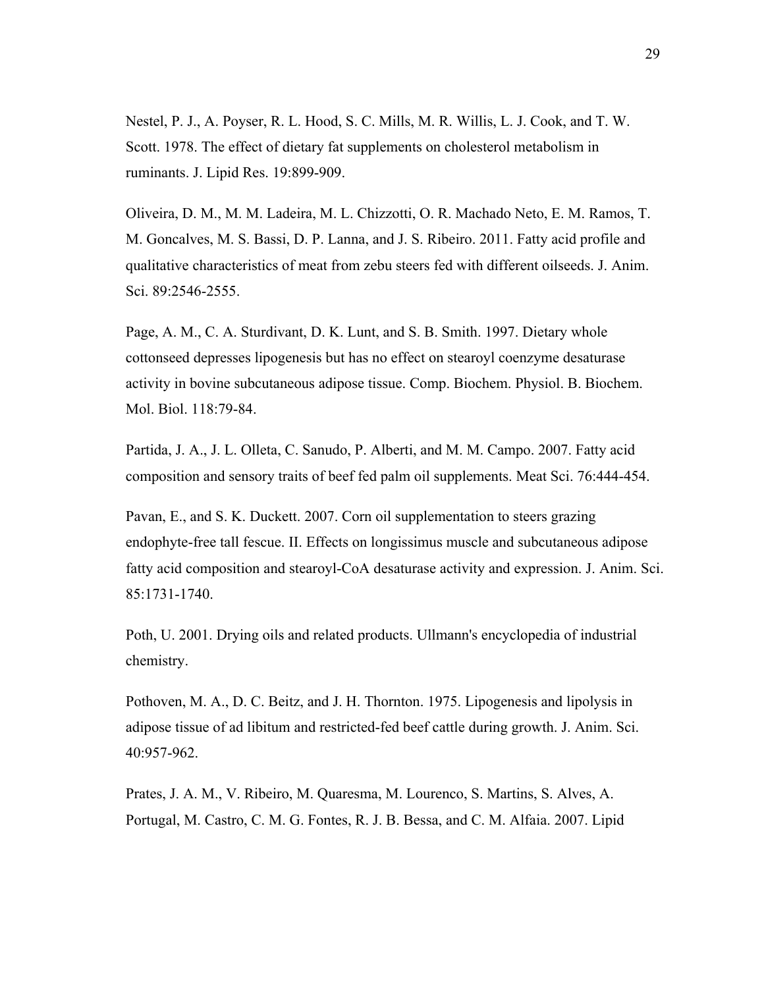Nestel, P. J., A. Poyser, R. L. Hood, S. C. Mills, M. R. Willis, L. J. Cook, and T. W. Scott. 1978. The effect of dietary fat supplements on cholesterol metabolism in ruminants. J. Lipid Res. 19:899-909.

Oliveira, D. M., M. M. Ladeira, M. L. Chizzotti, O. R. Machado Neto, E. M. Ramos, T. M. Goncalves, M. S. Bassi, D. P. Lanna, and J. S. Ribeiro. 2011. Fatty acid profile and qualitative characteristics of meat from zebu steers fed with different oilseeds. J. Anim. Sci. 89:2546-2555.

Page, A. M., C. A. Sturdivant, D. K. Lunt, and S. B. Smith. 1997. Dietary whole cottonseed depresses lipogenesis but has no effect on stearoyl coenzyme desaturase activity in bovine subcutaneous adipose tissue. Comp. Biochem. Physiol. B. Biochem. Mol. Biol. 118:79-84.

Partida, J. A., J. L. Olleta, C. Sanudo, P. Alberti, and M. M. Campo. 2007. Fatty acid composition and sensory traits of beef fed palm oil supplements. Meat Sci. 76:444-454.

Pavan, E., and S. K. Duckett. 2007. Corn oil supplementation to steers grazing endophyte-free tall fescue. II. Effects on longissimus muscle and subcutaneous adipose fatty acid composition and stearoyl-CoA desaturase activity and expression. J. Anim. Sci. 85:1731-1740.

Poth, U. 2001. Drying oils and related products. Ullmann's encyclopedia of industrial chemistry.

Pothoven, M. A., D. C. Beitz, and J. H. Thornton. 1975. Lipogenesis and lipolysis in adipose tissue of ad libitum and restricted-fed beef cattle during growth. J. Anim. Sci. 40:957-962.

Prates, J. A. M., V. Ribeiro, M. Quaresma, M. Lourenco, S. Martins, S. Alves, A. Portugal, M. Castro, C. M. G. Fontes, R. J. B. Bessa, and C. M. Alfaia. 2007. Lipid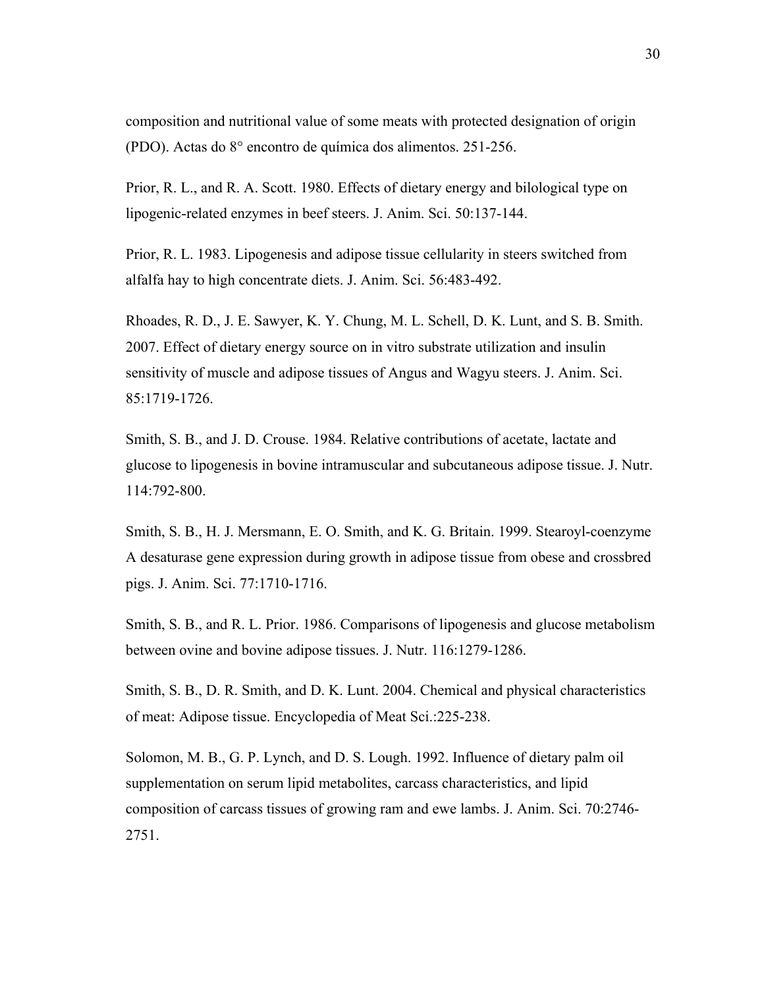composition and nutritional value of some meats with protected designation of origin (PDO). Actas do 8° encontro de química dos alimentos. 251-256.

Prior, R. L., and R. A. Scott. 1980. Effects of dietary energy and bilological type on lipogenic-related enzymes in beef steers. J. Anim. Sci. 50:137-144.

Prior, R. L. 1983. Lipogenesis and adipose tissue cellularity in steers switched from alfalfa hay to high concentrate diets. J. Anim. Sci. 56:483-492.

Rhoades, R. D., J. E. Sawyer, K. Y. Chung, M. L. Schell, D. K. Lunt, and S. B. Smith. 2007. Effect of dietary energy source on in vitro substrate utilization and insulin sensitivity of muscle and adipose tissues of Angus and Wagyu steers. J. Anim. Sci. 85:1719-1726.

Smith, S. B., and J. D. Crouse. 1984. Relative contributions of acetate, lactate and glucose to lipogenesis in bovine intramuscular and subcutaneous adipose tissue. J. Nutr. 114:792-800.

Smith, S. B., H. J. Mersmann, E. O. Smith, and K. G. Britain. 1999. Stearoyl-coenzyme A desaturase gene expression during growth in adipose tissue from obese and crossbred pigs. J. Anim. Sci. 77:1710-1716.

Smith, S. B., and R. L. Prior. 1986. Comparisons of lipogenesis and glucose metabolism between ovine and bovine adipose tissues. J. Nutr. 116:1279-1286.

Smith, S. B., D. R. Smith, and D. K. Lunt. 2004. Chemical and physical characteristics of meat: Adipose tissue. Encyclopedia of Meat Sci.:225-238.

Solomon, M. B., G. P. Lynch, and D. S. Lough. 1992. Influence of dietary palm oil supplementation on serum lipid metabolites, carcass characteristics, and lipid composition of carcass tissues of growing ram and ewe lambs. J. Anim. Sci. 70:2746- 2751.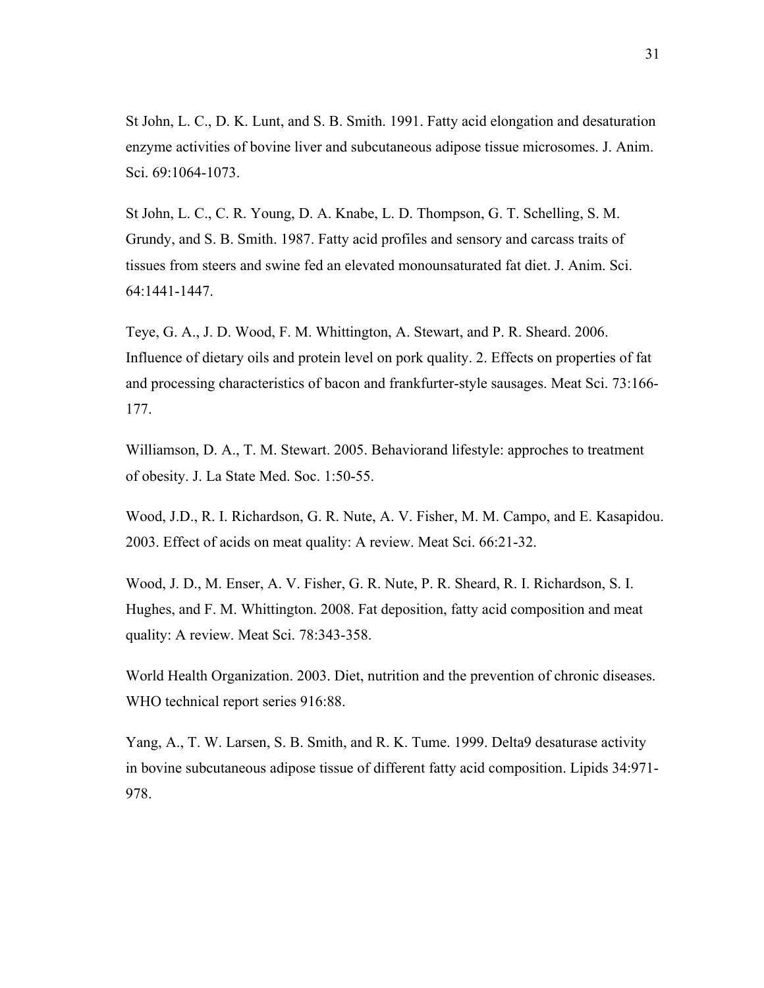St John, L. C., D. K. Lunt, and S. B. Smith. 1991. Fatty acid elongation and desaturation enzyme activities of bovine liver and subcutaneous adipose tissue microsomes. J. Anim. Sci. 69:1064-1073.

St John, L. C., C. R. Young, D. A. Knabe, L. D. Thompson, G. T. Schelling, S. M. Grundy, and S. B. Smith. 1987. Fatty acid profiles and sensory and carcass traits of tissues from steers and swine fed an elevated monounsaturated fat diet. J. Anim. Sci. 64:1441-1447.

Teye, G. A., J. D. Wood, F. M. Whittington, A. Stewart, and P. R. Sheard. 2006. Influence of dietary oils and protein level on pork quality. 2. Effects on properties of fat and processing characteristics of bacon and frankfurter-style sausages. Meat Sci. 73:166- 177.

Williamson, D. A., T. M. Stewart. 2005. Behaviorand lifestyle: approches to treatment of obesity. J. La State Med. Soc. 1:50-55.

Wood, J.D., R. I. Richardson, G. R. Nute, A. V. Fisher, M. M. Campo, and E. Kasapidou. 2003. Effect of acids on meat quality: A review. Meat Sci. 66:21-32.

Wood, J. D., M. Enser, A. V. Fisher, G. R. Nute, P. R. Sheard, R. I. Richardson, S. I. Hughes, and F. M. Whittington. 2008. Fat deposition, fatty acid composition and meat quality: A review. Meat Sci. 78:343-358.

World Health Organization. 2003. Diet, nutrition and the prevention of chronic diseases. WHO technical report series 916:88.

Yang, A., T. W. Larsen, S. B. Smith, and R. K. Tume. 1999. Delta9 desaturase activity in bovine subcutaneous adipose tissue of different fatty acid composition. Lipids 34:971- 978.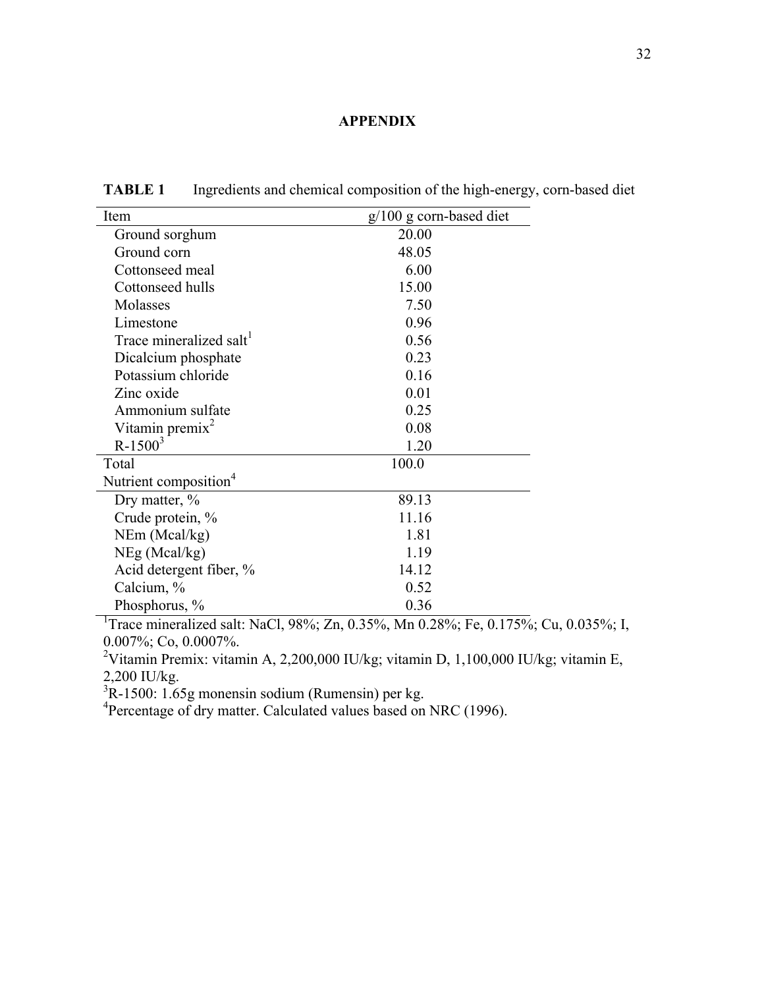### **APPENDIX**

| Item                                | $g/100$ g corn-based diet |
|-------------------------------------|---------------------------|
| Ground sorghum                      | 20.00                     |
| Ground corn                         | 48.05                     |
| Cottonseed meal                     | 6.00                      |
| Cottonseed hulls                    | 15.00                     |
| Molasses                            | 7.50                      |
| Limestone                           | 0.96                      |
| Trace mineralized salt <sup>1</sup> | 0.56                      |
| Dicalcium phosphate                 | 0.23                      |
| Potassium chloride                  | 0.16                      |
| Zinc oxide                          | 0.01                      |
| Ammonium sulfate                    | 0.25                      |
| Vitamin premix <sup>2</sup>         | 0.08                      |
| $R-1500^3$                          | 1.20                      |
| Total                               | 100.0                     |
| Nutrient composition <sup>4</sup>   |                           |
| Dry matter, %                       | 89.13                     |
| Crude protein, %                    | 11.16                     |
| NEm (Meal/kg)                       | 1.81                      |
| $NEg$ (Mcal/kg)                     | 1.19                      |
| Acid detergent fiber, %             | 14.12                     |
| Calcium, %                          | 0.52                      |
| Phosphorus, %                       | 0.36                      |

**TABLE 1** Ingredients and chemical composition of the high-energy, corn-based diet

<sup>1</sup>Trace mineralized salt: NaCl, 98%; Zn, 0.35%, Mn 0.28%; Fe, 0.175%; Cu, 0.035%; I, 0.007%; Co, 0.0007%.

<sup>2</sup>Vitamin Premix: vitamin A, 2,200,000 IU/kg; vitamin D, 1,100,000 IU/kg; vitamin E, 2,200 IU/kg.

3 R-1500: 1.65g monensin sodium (Rumensin) per kg.

<sup>4</sup>Percentage of dry matter. Calculated values based on NRC (1996).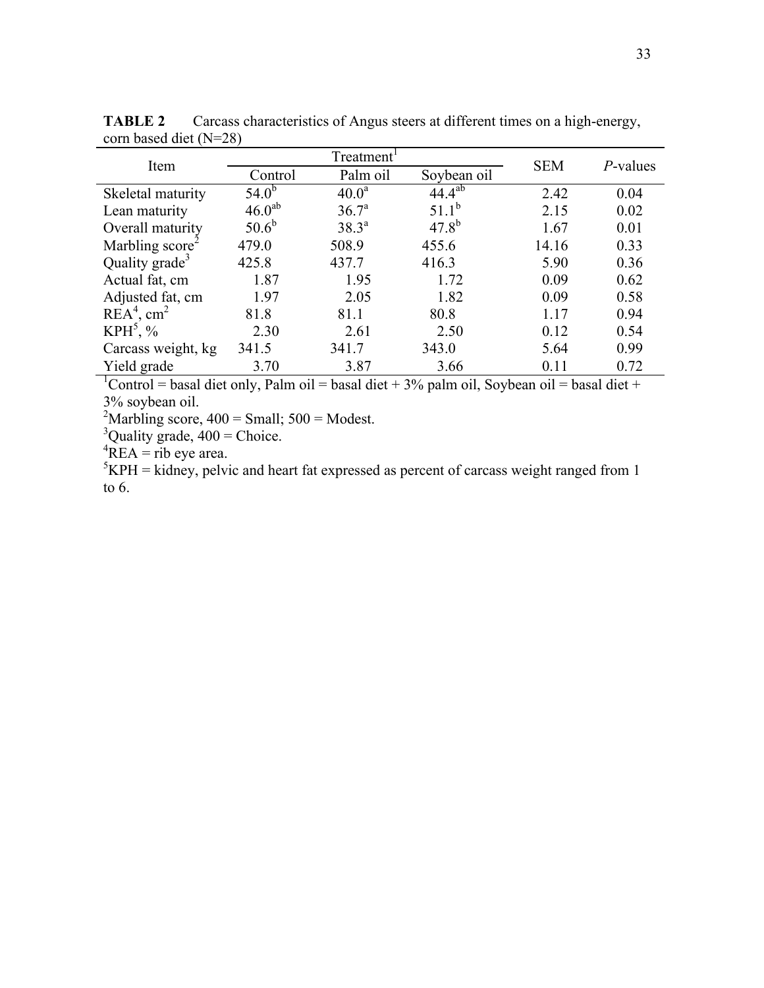| Item                        |             | Treatment         |                        | <b>SEM</b> | <i>P</i> -values |  |
|-----------------------------|-------------|-------------------|------------------------|------------|------------------|--|
|                             | Control     | Palm oil          | Soybean oil            |            |                  |  |
| Skeletal maturity           | $54.0^{b}$  | 40.0 <sup>a</sup> | $44.\overline{4^{ab}}$ | 2.42       | 0.04             |  |
| Lean maturity               | $46.0^{ab}$ | 36.7 <sup>a</sup> | $51.1^b$               | 2.15       | 0.02             |  |
| Overall maturity            | $50.6^{b}$  | $38.3^{a}$        | $47.8^{b}$             | 1.67       | 0.01             |  |
| Marbling score <sup>2</sup> | 479.0       | 508.9             | 455.6                  | 14.16      | 0.33             |  |
| Quality grade <sup>3</sup>  | 425.8       | 437.7             | 416.3                  | 5.90       | 0.36             |  |
| Actual fat, cm              | 1.87        | 1.95              | 1.72                   | 0.09       | 0.62             |  |
| Adjusted fat, cm            | 1.97        | 2.05              | 1.82                   | 0.09       | 0.58             |  |
| $REA4$ , cm <sup>2</sup>    | 81.8        | 81.1              | 80.8                   | 1.17       | 0.94             |  |
| $KPH^5$ , %                 | 2.30        | 2.61              | 2.50                   | 0.12       | 0.54             |  |
| Carcass weight, kg          | 341.5       | 341.7             | 343.0                  | 5.64       | 0.99             |  |
| Yield grade                 | 3.70        | 3.87              | 3.66                   | 0.11       | 0.72             |  |

**TABLE 2** Carcass characteristics of Angus steers at different times on a high-energy, corn based diet (N=28)

<sup>1</sup>Control = basal diet only, Palm oil = basal diet + 3% palm oil, Soybean oil = basal diet + 3% soybean oil.

<sup>2</sup>Marbling score,  $400 =$  Small;  $500 =$  Modest.

 $3$ Quality grade,  $400$  = Choice.

 ${}^{4}$ REA = rib eye area.

 ${}^{5}$ KPH = kidney, pelvic and heart fat expressed as percent of carcass weight ranged from 1 to 6.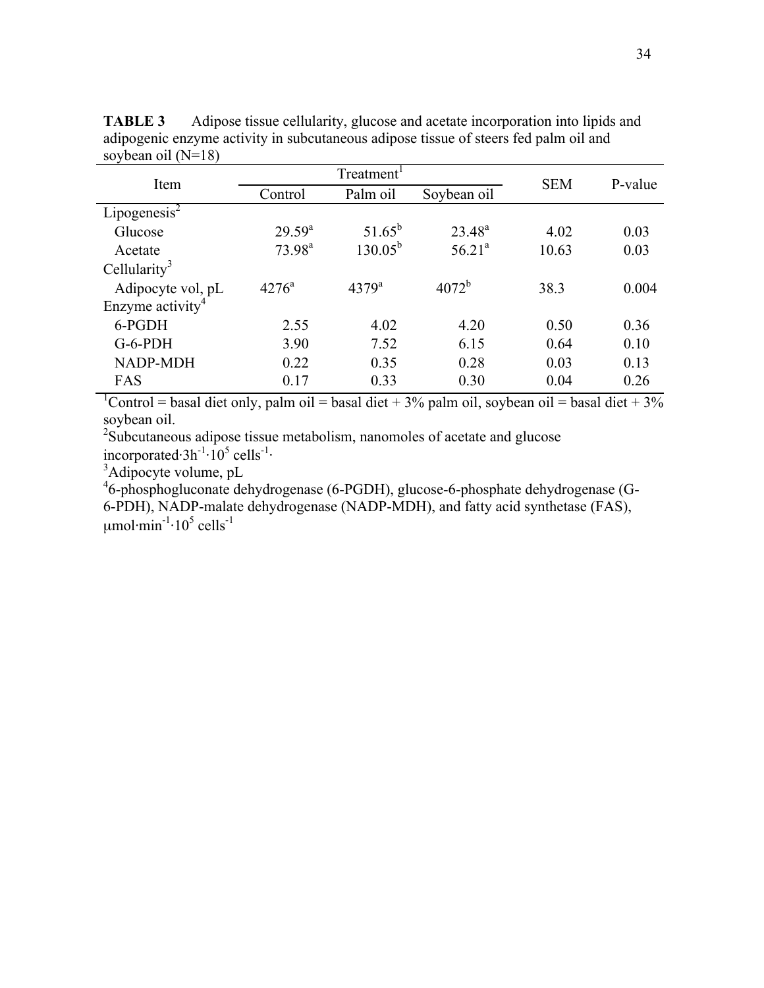| Item                         |                    | Treatment <sup>1</sup> | <b>SEM</b>  | P-value |       |
|------------------------------|--------------------|------------------------|-------------|---------|-------|
|                              | Control            | Palm oil               | Soybean oil |         |       |
| Lipogenesis $2$              |                    |                        |             |         |       |
| Glucose                      | $29.59^{a}$        | $51.65^b$              | $23.48^{a}$ | 4.02    | 0.03  |
| Acetate                      | $73.98^{\text{a}}$ | $130.05^{b}$           | $56.21^{a}$ | 10.63   | 0.03  |
| Cellularity <sup>3</sup>     |                    |                        |             |         |       |
| Adipocyte vol, pL            | $4276^{\circ}$     | $4379^{\rm a}$         | $4072^{b}$  | 38.3    | 0.004 |
| Enzyme activity <sup>4</sup> |                    |                        |             |         |       |
| 6-PGDH                       | 2.55               | 4.02                   | 4.20        | 0.50    | 0.36  |
| $G-6-PDH$                    | 3.90               | 7.52                   | 6.15        | 0.64    | 0.10  |
| <b>NADP-MDH</b>              | 0.22               | 0.35                   | 0.28        | 0.03    | 0.13  |
| FAS                          | 0.17               | 0.33                   | 0.30        | 0.04    | 0.26  |

**TABLE 3** Adipose tissue cellularity, glucose and acetate incorporation into lipids and adipogenic enzyme activity in subcutaneous adipose tissue of steers fed palm oil and soybean oil (N=18)

<sup>1</sup>Control = basal diet only, palm oil = basal diet + 3% palm oil, soybean oil = basal diet + 3% soybean oil.

<sup>2</sup>Subcutaneous adipose tissue metabolism, nanomoles of acetate and glucose

incorporated⋅ $3h^{-1}·10^5$  cells<sup>-1</sup>⋅

 $3$ Adipocyte volume, pL

4 6-phosphogluconate dehydrogenase (6-PGDH), glucose-6-phosphate dehydrogenase (G-6-PDH), NADP-malate dehydrogenase (NADP-MDH), and fatty acid synthetase (FAS),  $\mu$ mol·min<sup>-1</sup>·10<sup>5</sup> cells<sup>-1</sup>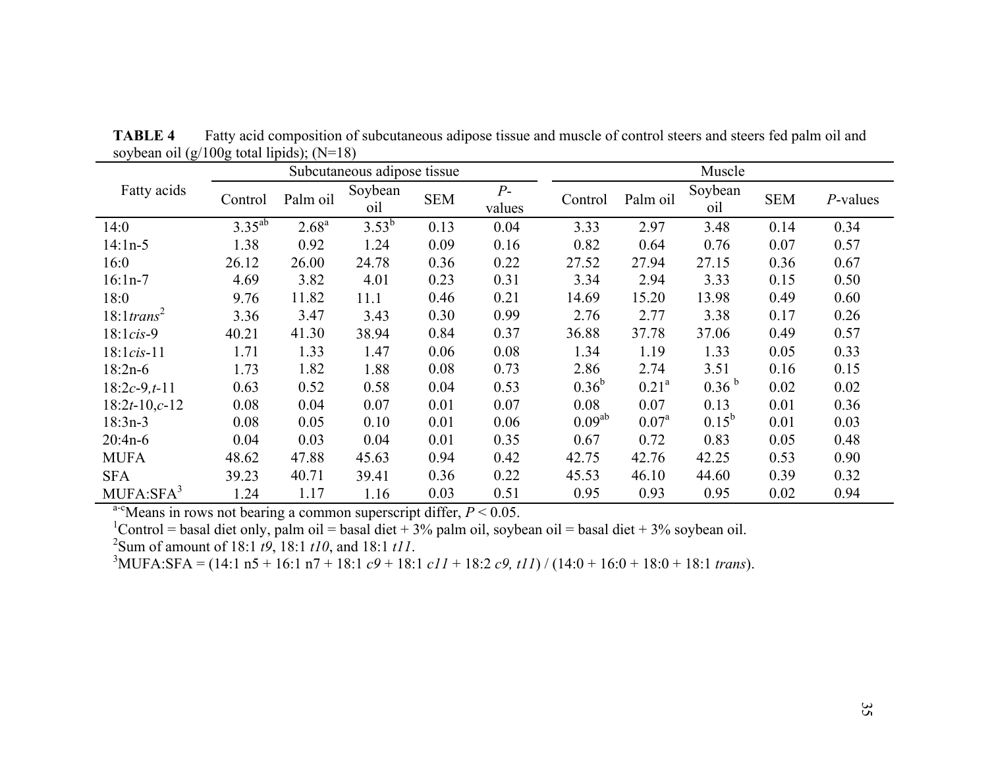|                           |             |            | Subcutaneous adipose tissue |            |                |                    |                | Muscle            |            |          |
|---------------------------|-------------|------------|-----------------------------|------------|----------------|--------------------|----------------|-------------------|------------|----------|
| Fatty acids               | Control     | Palm oil   | Soybean<br>oil              | <b>SEM</b> | $P-$<br>values | Control            | Palm oil       | Soybean<br>oil    | <b>SEM</b> | P-values |
| 14:0                      | $3.35^{ab}$ | $2.68^{a}$ | $3.53^{b}$                  | 0.13       | 0.04           | 3.33               | 2.97           | 3.48              | 0.14       | 0.34     |
| $14:1n-5$                 | 1.38        | 0.92       | 1.24                        | 0.09       | 0.16           | 0.82               | 0.64           | 0.76              | 0.07       | 0.57     |
| 16:0                      | 26.12       | 26.00      | 24.78                       | 0.36       | 0.22           | 27.52              | 27.94          | 27.15             | 0.36       | 0.67     |
| $16:1n-7$                 | 4.69        | 3.82       | 4.01                        | 0.23       | 0.31           | 3.34               | 2.94           | 3.33              | 0.15       | 0.50     |
| 18:0                      | 9.76        | 11.82      | 11.1                        | 0.46       | 0.21           | 14.69              | 15.20          | 13.98             | 0.49       | 0.60     |
| $18:1$ trans <sup>2</sup> | 3.36        | 3.47       | 3.43                        | 0.30       | 0.99           | 2.76               | 2.77           | 3.38              | 0.17       | 0.26     |
| $18:1cis-9$               | 40.21       | 41.30      | 38.94                       | 0.84       | 0.37           | 36.88              | 37.78          | 37.06             | 0.49       | 0.57     |
| $18:1cis-11$              | 1.71        | 1.33       | 1.47                        | 0.06       | 0.08           | 1.34               | 1.19           | 1.33              | 0.05       | 0.33     |
| $18:2n-6$                 | 1.73        | 1.82       | 1.88                        | 0.08       | 0.73           | 2.86               | 2.74           | 3.51              | 0.16       | 0.15     |
| $18:2c-9,t-11$            | 0.63        | 0.52       | 0.58                        | 0.04       | 0.53           | $0.36^{b}$         | $0.21^a$       | 0.36 <sup>b</sup> | 0.02       | 0.02     |
| $18:2t-10,c-12$           | 0.08        | 0.04       | 0.07                        | 0.01       | 0.07           | 0.08               | 0.07           | 0.13              | 0.01       | 0.36     |
| $18:3n-3$                 | 0.08        | 0.05       | 0.10                        | 0.01       | 0.06           | 0.09 <sup>ab</sup> | $0.07^{\rm a}$ | $0.15^{b}$        | 0.01       | 0.03     |
| $20:4n-6$                 | 0.04        | 0.03       | 0.04                        | 0.01       | 0.35           | 0.67               | 0.72           | 0.83              | 0.05       | 0.48     |
| <b>MUFA</b>               | 48.62       | 47.88      | 45.63                       | 0.94       | 0.42           | 42.75              | 42.76          | 42.25             | 0.53       | 0.90     |
| <b>SFA</b>                | 39.23       | 40.71      | 39.41                       | 0.36       | 0.22           | 45.53              | 46.10          | 44.60             | 0.39       | 0.32     |
| MUFA: SFA <sup>3</sup>    | 1.24        | 1.17       | 1.16                        | 0.03       | 0.51           | 0.95               | 0.93           | 0.95              | 0.02       | 0.94     |

**TABLE 4** Fatty acid composition of subcutaneous adipose tissue and muscle of control steers and steers fed palm oil and soybean oil  $(g/100g \text{ total lipids})$ ; (N=18)

<sup>a-c</sup>Means in rows not bearing a common superscript differ,  $P < 0.05$ .<br><sup>1</sup>Control = basal diet only, palm oil = basal diet + 3% palm oil, soybean oil = basal diet + 3% soybean oil.

<sup>2</sup>Sum of amount of 18:1 *t9*, 18:1 *t10*, and 18:1 *t11*.<br><sup>3</sup>MUFA:SFA = (14:1 n5 + 16:1 n7 + 18:1 *c9* + 18:1 *c11* + 18:2 *c9, t11*) / (14:0 + 16:0 + 18:0 + 18:1 *trans*).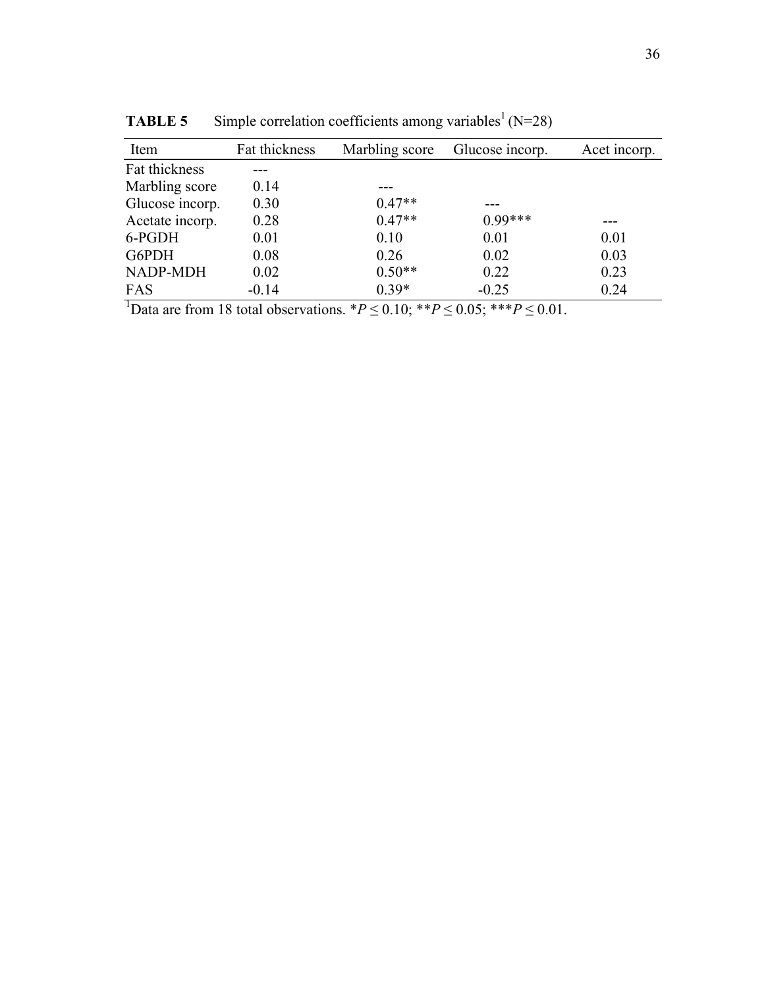| Item            | Fat thickness | Marbling score | Glucose incorp. | Acet incorp. |
|-----------------|---------------|----------------|-----------------|--------------|
| Fat thickness   |               |                |                 |              |
| Marbling score  | 0.14          |                |                 |              |
| Glucose incorp. | 0.30          | $0.47**$       |                 |              |
| Acetate incorp. | 0.28          | $0.47**$       | $0.99***$       |              |
| 6-PGDH          | 0.01          | 0.10           | 0.01            | 0.01         |
| G6PDH           | 0.08          | 0.26           | 0.02            | 0.03         |
| NADP-MDH        | 0.02          | $0.50**$       | 0.22            | 0.23         |
| FAS             | $-0.14$       | $0.39*$        | $-0.25$         | 0.24         |

**TABLE 5** Simple correlation coefficients among variables<sup>1</sup> ( $N=28$ )

<sup>1</sup>Data are from 18 total observations.  ${}^*P \le 0.10$ ;  ${}^{**}P \le 0.05$ ;  ${}^{**}P \le 0.01$ .